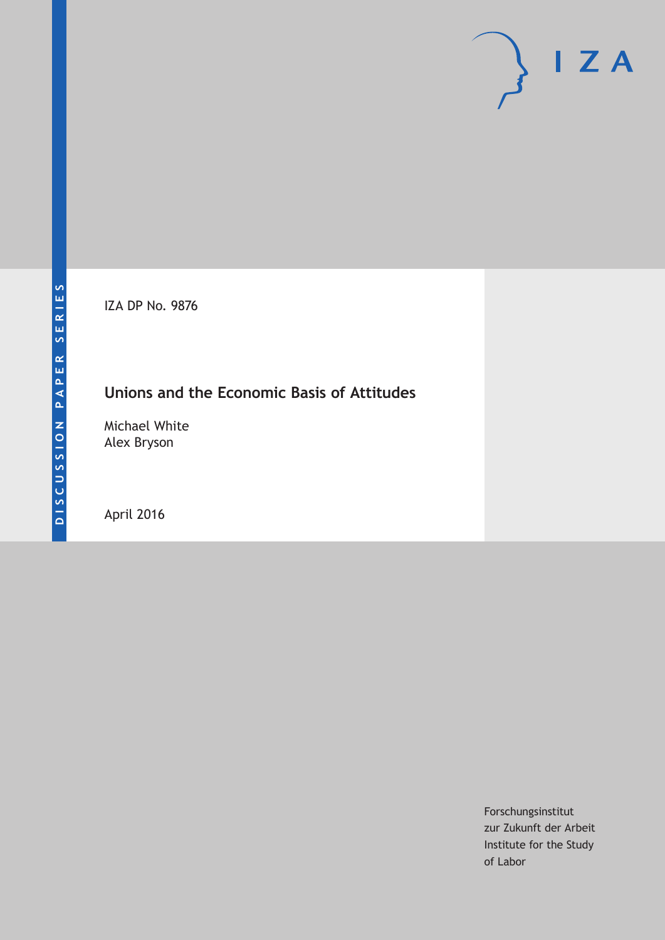IZA DP No. 9876

# **Unions and the Economic Basis of Attitudes**

Michael White Alex Bryson

April 2016

Forschungsinstitut zur Zukunft der Arbeit Institute for the Study of Labor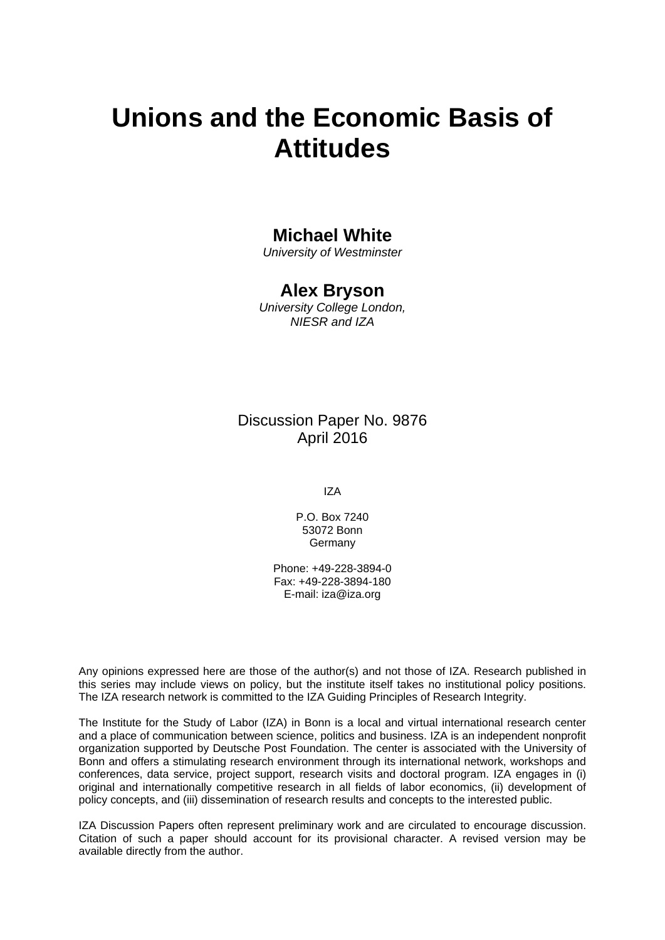# **Unions and the Economic Basis of Attitudes**

### **Michael White**

*University of Westminster* 

## **Alex Bryson**

*University College London, NIESR and IZA* 

# Discussion Paper No. 9876 April 2016

IZA

P.O. Box 7240 53072 Bonn **Germany** 

Phone: +49-228-3894-0 Fax: +49-228-3894-180 E-mail: iza@iza.org

Any opinions expressed here are those of the author(s) and not those of IZA. Research published in this series may include views on policy, but the institute itself takes no institutional policy positions. The IZA research network is committed to the IZA Guiding Principles of Research Integrity.

The Institute for the Study of Labor (IZA) in Bonn is a local and virtual international research center and a place of communication between science, politics and business. IZA is an independent nonprofit organization supported by Deutsche Post Foundation. The center is associated with the University of Bonn and offers a stimulating research environment through its international network, workshops and conferences, data service, project support, research visits and doctoral program. IZA engages in (i) original and internationally competitive research in all fields of labor economics, (ii) development of policy concepts, and (iii) dissemination of research results and concepts to the interested public.

IZA Discussion Papers often represent preliminary work and are circulated to encourage discussion. Citation of such a paper should account for its provisional character. A revised version may be available directly from the author.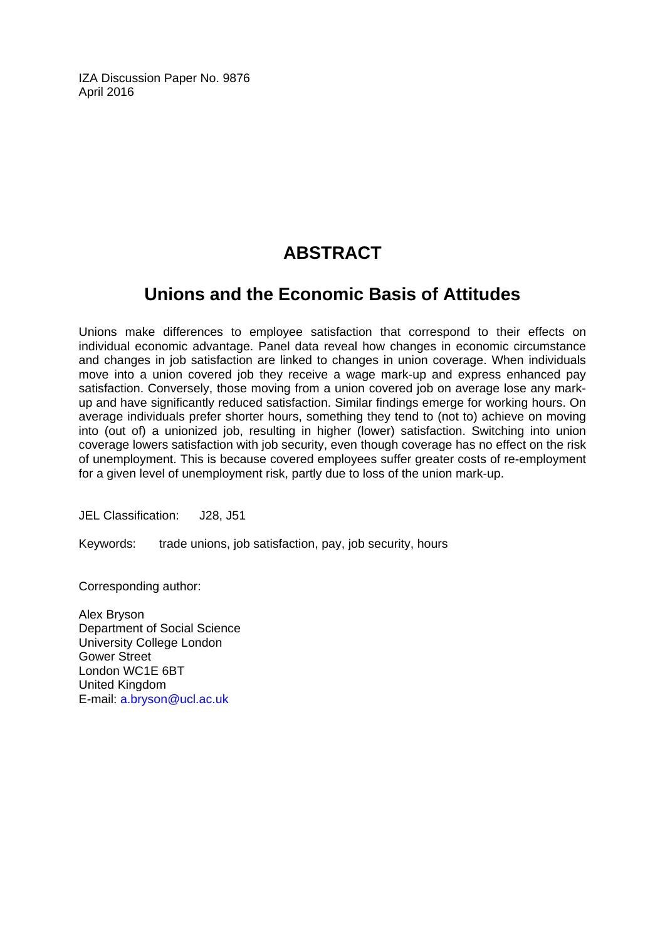IZA Discussion Paper No. 9876 April 2016

# **ABSTRACT**

# **Unions and the Economic Basis of Attitudes**

Unions make differences to employee satisfaction that correspond to their effects on individual economic advantage. Panel data reveal how changes in economic circumstance and changes in job satisfaction are linked to changes in union coverage. When individuals move into a union covered job they receive a wage mark-up and express enhanced pay satisfaction. Conversely, those moving from a union covered job on average lose any markup and have significantly reduced satisfaction. Similar findings emerge for working hours. On average individuals prefer shorter hours, something they tend to (not to) achieve on moving into (out of) a unionized job, resulting in higher (lower) satisfaction. Switching into union coverage lowers satisfaction with job security, even though coverage has no effect on the risk of unemployment. This is because covered employees suffer greater costs of re-employment for a given level of unemployment risk, partly due to loss of the union mark-up.

JEL Classification: J28, J51

Keywords: trade unions, job satisfaction, pay, job security, hours

Corresponding author:

Alex Bryson Department of Social Science University College London Gower Street London WC1E 6BT United Kingdom E-mail: a.bryson@ucl.ac.uk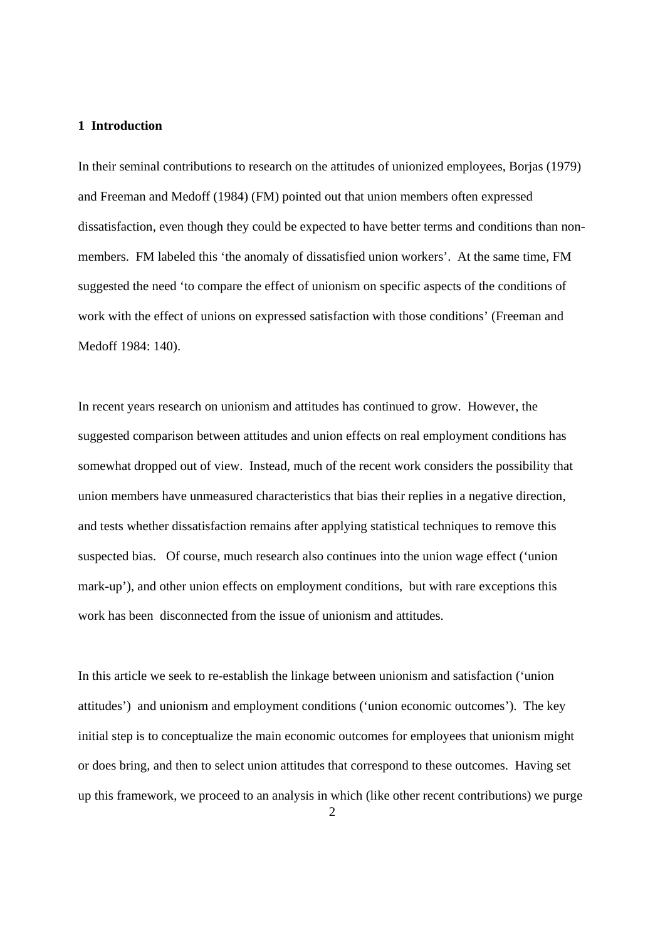#### **1 Introduction**

In their seminal contributions to research on the attitudes of unionized employees, Borjas (1979) and Freeman and Medoff (1984) (FM) pointed out that union members often expressed dissatisfaction, even though they could be expected to have better terms and conditions than nonmembers. FM labeled this 'the anomaly of dissatisfied union workers'. At the same time, FM suggested the need 'to compare the effect of unionism on specific aspects of the conditions of work with the effect of unions on expressed satisfaction with those conditions' (Freeman and Medoff 1984: 140).

In recent years research on unionism and attitudes has continued to grow. However, the suggested comparison between attitudes and union effects on real employment conditions has somewhat dropped out of view. Instead, much of the recent work considers the possibility that union members have unmeasured characteristics that bias their replies in a negative direction, and tests whether dissatisfaction remains after applying statistical techniques to remove this suspected bias. Of course, much research also continues into the union wage effect ('union mark-up'), and other union effects on employment conditions, but with rare exceptions this work has been disconnected from the issue of unionism and attitudes.

In this article we seek to re-establish the linkage between unionism and satisfaction ('union attitudes') and unionism and employment conditions ('union economic outcomes'). The key initial step is to conceptualize the main economic outcomes for employees that unionism might or does bring, and then to select union attitudes that correspond to these outcomes. Having set up this framework, we proceed to an analysis in which (like other recent contributions) we purge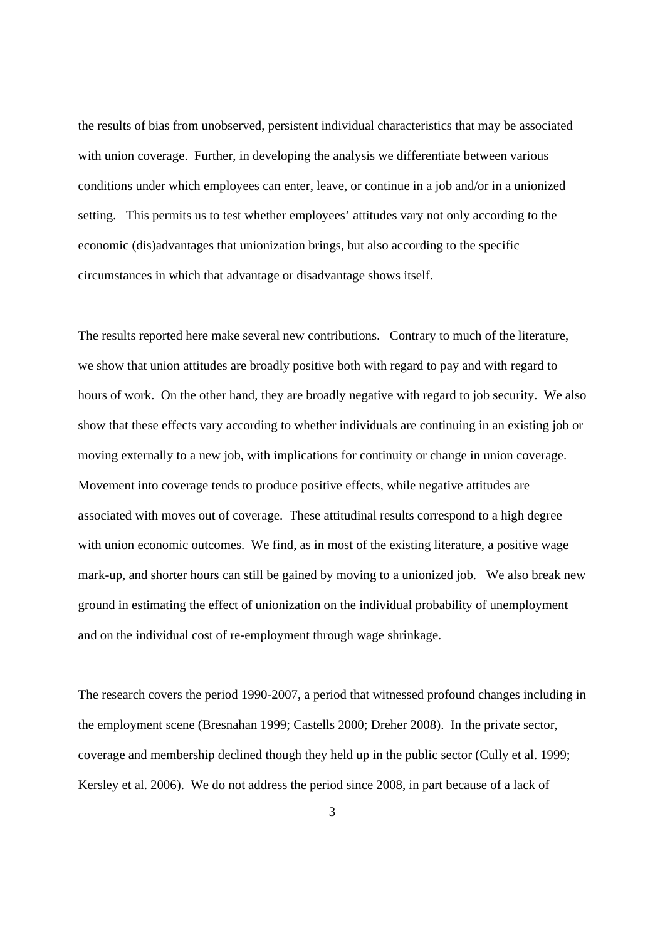the results of bias from unobserved, persistent individual characteristics that may be associated with union coverage. Further, in developing the analysis we differentiate between various conditions under which employees can enter, leave, or continue in a job and/or in a unionized setting. This permits us to test whether employees' attitudes vary not only according to the economic (dis)advantages that unionization brings, but also according to the specific circumstances in which that advantage or disadvantage shows itself.

The results reported here make several new contributions. Contrary to much of the literature, we show that union attitudes are broadly positive both with regard to pay and with regard to hours of work. On the other hand, they are broadly negative with regard to job security. We also show that these effects vary according to whether individuals are continuing in an existing job or moving externally to a new job, with implications for continuity or change in union coverage. Movement into coverage tends to produce positive effects, while negative attitudes are associated with moves out of coverage. These attitudinal results correspond to a high degree with union economic outcomes. We find, as in most of the existing literature, a positive wage mark-up, and shorter hours can still be gained by moving to a unionized job. We also break new ground in estimating the effect of unionization on the individual probability of unemployment and on the individual cost of re-employment through wage shrinkage.

The research covers the period 1990-2007, a period that witnessed profound changes including in the employment scene (Bresnahan 1999; Castells 2000; Dreher 2008). In the private sector, coverage and membership declined though they held up in the public sector (Cully et al. 1999; Kersley et al. 2006). We do not address the period since 2008, in part because of a lack of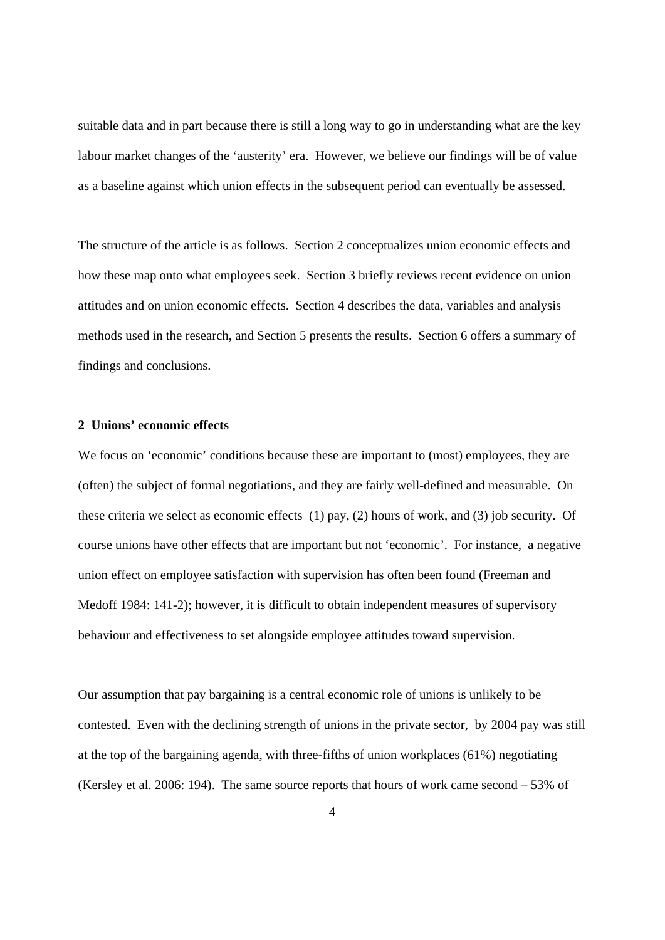suitable data and in part because there is still a long way to go in understanding what are the key labour market changes of the 'austerity' era. However, we believe our findings will be of value as a baseline against which union effects in the subsequent period can eventually be assessed.

The structure of the article is as follows. Section 2 conceptualizes union economic effects and how these map onto what employees seek. Section 3 briefly reviews recent evidence on union attitudes and on union economic effects. Section 4 describes the data, variables and analysis methods used in the research, and Section 5 presents the results. Section 6 offers a summary of findings and conclusions.

#### **2 Unions' economic effects**

We focus on 'economic' conditions because these are important to (most) employees, they are (often) the subject of formal negotiations, and they are fairly well-defined and measurable. On these criteria we select as economic effects (1) pay, (2) hours of work, and (3) job security. Of course unions have other effects that are important but not 'economic'. For instance, a negative union effect on employee satisfaction with supervision has often been found (Freeman and Medoff 1984: 141-2); however, it is difficult to obtain independent measures of supervisory behaviour and effectiveness to set alongside employee attitudes toward supervision.

Our assumption that pay bargaining is a central economic role of unions is unlikely to be contested. Even with the declining strength of unions in the private sector, by 2004 pay was still at the top of the bargaining agenda, with three-fifths of union workplaces (61%) negotiating (Kersley et al. 2006: 194). The same source reports that hours of work came second – 53% of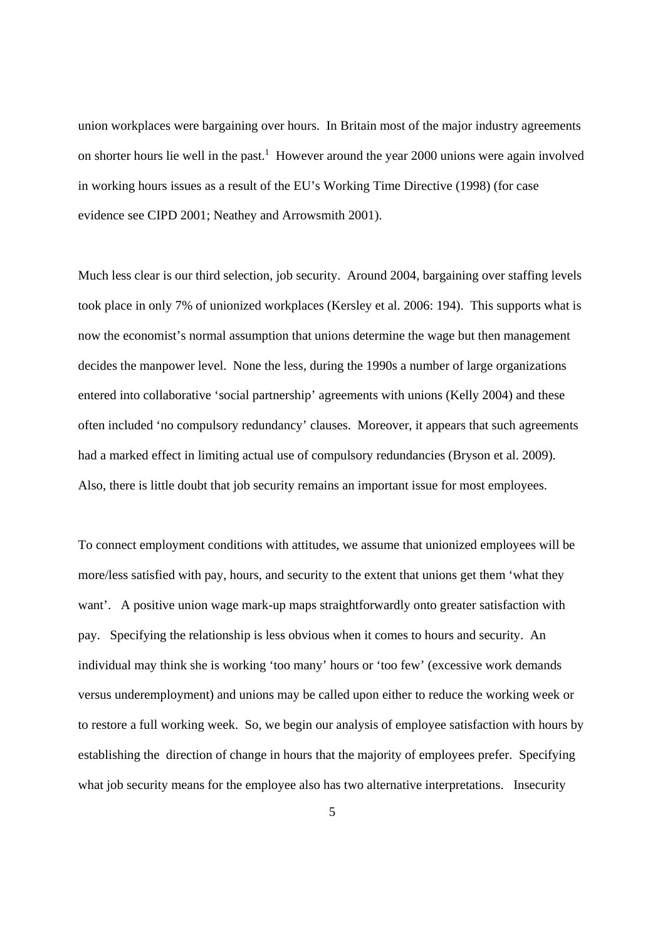union workplaces were bargaining over hours. In Britain most of the major industry agreements on shorter hours lie well in the past.<sup>1</sup> However around the year 2000 unions were again involved in working hours issues as a result of the EU's Working Time Directive (1998) (for case evidence see CIPD 2001; Neathey and Arrowsmith 2001).

Much less clear is our third selection, job security. Around 2004, bargaining over staffing levels took place in only 7% of unionized workplaces (Kersley et al. 2006: 194). This supports what is now the economist's normal assumption that unions determine the wage but then management decides the manpower level. None the less, during the 1990s a number of large organizations entered into collaborative 'social partnership' agreements with unions (Kelly 2004) and these often included 'no compulsory redundancy' clauses. Moreover, it appears that such agreements had a marked effect in limiting actual use of compulsory redundancies (Bryson et al. 2009). Also, there is little doubt that job security remains an important issue for most employees.

To connect employment conditions with attitudes, we assume that unionized employees will be more/less satisfied with pay, hours, and security to the extent that unions get them 'what they want'. A positive union wage mark-up maps straightforwardly onto greater satisfaction with pay. Specifying the relationship is less obvious when it comes to hours and security. An individual may think she is working 'too many' hours or 'too few' (excessive work demands versus underemployment) and unions may be called upon either to reduce the working week or to restore a full working week. So, we begin our analysis of employee satisfaction with hours by establishing the direction of change in hours that the majority of employees prefer. Specifying what job security means for the employee also has two alternative interpretations. Insecurity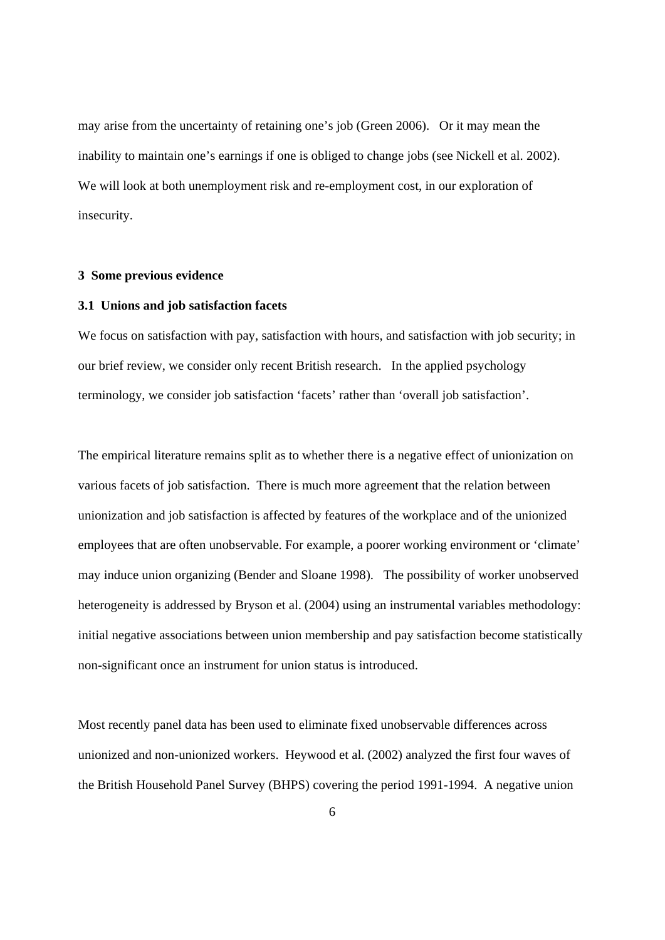may arise from the uncertainty of retaining one's job (Green 2006). Or it may mean the inability to maintain one's earnings if one is obliged to change jobs (see Nickell et al. 2002). We will look at both unemployment risk and re-employment cost, in our exploration of insecurity.

#### **3 Some previous evidence**

#### **3.1 Unions and job satisfaction facets**

We focus on satisfaction with pay, satisfaction with hours, and satisfaction with job security; in our brief review, we consider only recent British research. In the applied psychology terminology, we consider job satisfaction 'facets' rather than 'overall job satisfaction'.

The empirical literature remains split as to whether there is a negative effect of unionization on various facets of job satisfaction. There is much more agreement that the relation between unionization and job satisfaction is affected by features of the workplace and of the unionized employees that are often unobservable. For example, a poorer working environment or 'climate' may induce union organizing (Bender and Sloane 1998). The possibility of worker unobserved heterogeneity is addressed by Bryson et al. (2004) using an instrumental variables methodology: initial negative associations between union membership and pay satisfaction become statistically non-significant once an instrument for union status is introduced.

Most recently panel data has been used to eliminate fixed unobservable differences across unionized and non-unionized workers. Heywood et al. (2002) analyzed the first four waves of the British Household Panel Survey (BHPS) covering the period 1991-1994. A negative union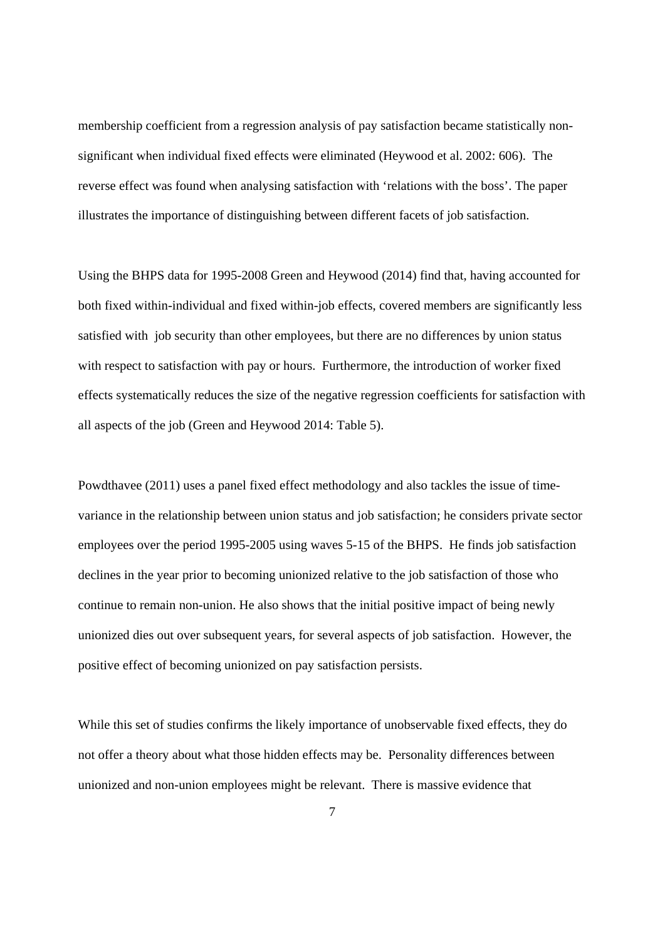membership coefficient from a regression analysis of pay satisfaction became statistically nonsignificant when individual fixed effects were eliminated (Heywood et al. 2002: 606). The reverse effect was found when analysing satisfaction with 'relations with the boss'. The paper illustrates the importance of distinguishing between different facets of job satisfaction.

Using the BHPS data for 1995-2008 Green and Heywood (2014) find that, having accounted for both fixed within-individual and fixed within-job effects, covered members are significantly less satisfied with job security than other employees, but there are no differences by union status with respect to satisfaction with pay or hours. Furthermore, the introduction of worker fixed effects systematically reduces the size of the negative regression coefficients for satisfaction with all aspects of the job (Green and Heywood 2014: Table 5).

Powdthavee (2011) uses a panel fixed effect methodology and also tackles the issue of timevariance in the relationship between union status and job satisfaction; he considers private sector employees over the period 1995-2005 using waves 5-15 of the BHPS. He finds job satisfaction declines in the year prior to becoming unionized relative to the job satisfaction of those who continue to remain non-union. He also shows that the initial positive impact of being newly unionized dies out over subsequent years, for several aspects of job satisfaction. However, the positive effect of becoming unionized on pay satisfaction persists.

While this set of studies confirms the likely importance of unobservable fixed effects, they do not offer a theory about what those hidden effects may be. Personality differences between unionized and non-union employees might be relevant. There is massive evidence that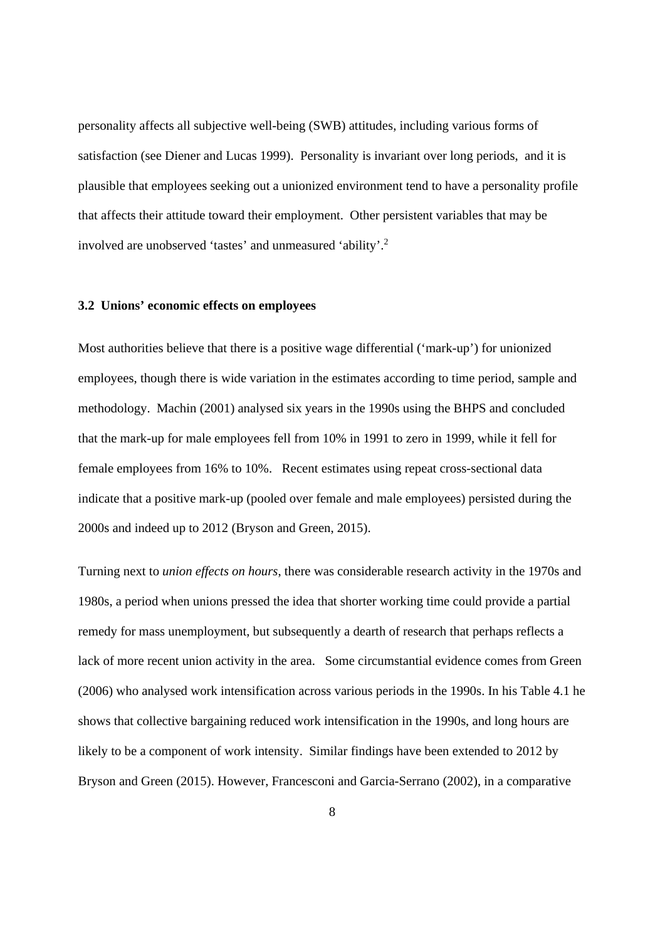personality affects all subjective well-being (SWB) attitudes, including various forms of satisfaction (see Diener and Lucas 1999). Personality is invariant over long periods, and it is plausible that employees seeking out a unionized environment tend to have a personality profile that affects their attitude toward their employment. Other persistent variables that may be involved are unobserved 'tastes' and unmeasured 'ability'.<sup>2</sup>

#### **3.2 Unions' economic effects on employees**

Most authorities believe that there is a positive wage differential ('mark-up') for unionized employees, though there is wide variation in the estimates according to time period, sample and methodology. Machin (2001) analysed six years in the 1990s using the BHPS and concluded that the mark-up for male employees fell from 10% in 1991 to zero in 1999, while it fell for female employees from 16% to 10%. Recent estimates using repeat cross-sectional data indicate that a positive mark-up (pooled over female and male employees) persisted during the 2000s and indeed up to 2012 (Bryson and Green, 2015).

Turning next to *union effects on hours*, there was considerable research activity in the 1970s and 1980s, a period when unions pressed the idea that shorter working time could provide a partial remedy for mass unemployment, but subsequently a dearth of research that perhaps reflects a lack of more recent union activity in the area. Some circumstantial evidence comes from Green (2006) who analysed work intensification across various periods in the 1990s. In his Table 4.1 he shows that collective bargaining reduced work intensification in the 1990s, and long hours are likely to be a component of work intensity. Similar findings have been extended to 2012 by Bryson and Green (2015). However, Francesconi and Garcia-Serrano (2002), in a comparative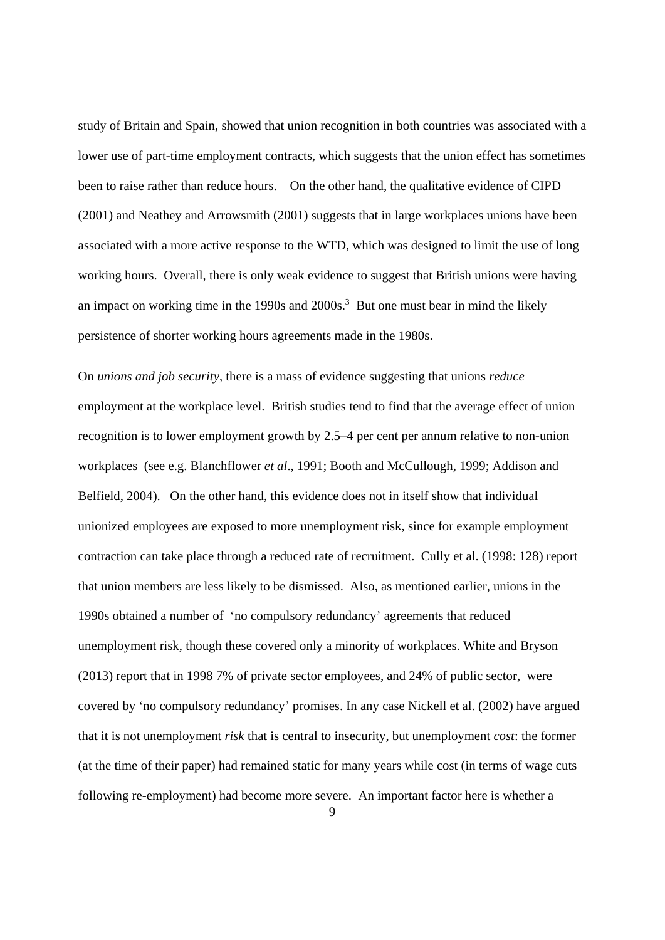study of Britain and Spain, showed that union recognition in both countries was associated with a lower use of part-time employment contracts, which suggests that the union effect has sometimes been to raise rather than reduce hours. On the other hand, the qualitative evidence of CIPD (2001) and Neathey and Arrowsmith (2001) suggests that in large workplaces unions have been associated with a more active response to the WTD, which was designed to limit the use of long working hours. Overall, there is only weak evidence to suggest that British unions were having an impact on working time in the  $1990s$  and  $2000s$ .<sup>3</sup> But one must bear in mind the likely persistence of shorter working hours agreements made in the 1980s.

On *unions and job security*, there is a mass of evidence suggesting that unions *reduce*  employment at the workplace level. British studies tend to find that the average effect of union recognition is to lower employment growth by 2.5–4 per cent per annum relative to non-union workplaces (see e.g. Blanchflower *et al*., 1991; Booth and McCullough, 1999; Addison and Belfield, 2004). On the other hand, this evidence does not in itself show that individual unionized employees are exposed to more unemployment risk, since for example employment contraction can take place through a reduced rate of recruitment. Cully et al. (1998: 128) report that union members are less likely to be dismissed. Also, as mentioned earlier, unions in the 1990s obtained a number of 'no compulsory redundancy' agreements that reduced unemployment risk, though these covered only a minority of workplaces. White and Bryson (2013) report that in 1998 7% of private sector employees, and 24% of public sector, were covered by 'no compulsory redundancy' promises. In any case Nickell et al. (2002) have argued that it is not unemployment *risk* that is central to insecurity, but unemployment *cost*: the former (at the time of their paper) had remained static for many years while cost (in terms of wage cuts following re-employment) had become more severe. An important factor here is whether a

9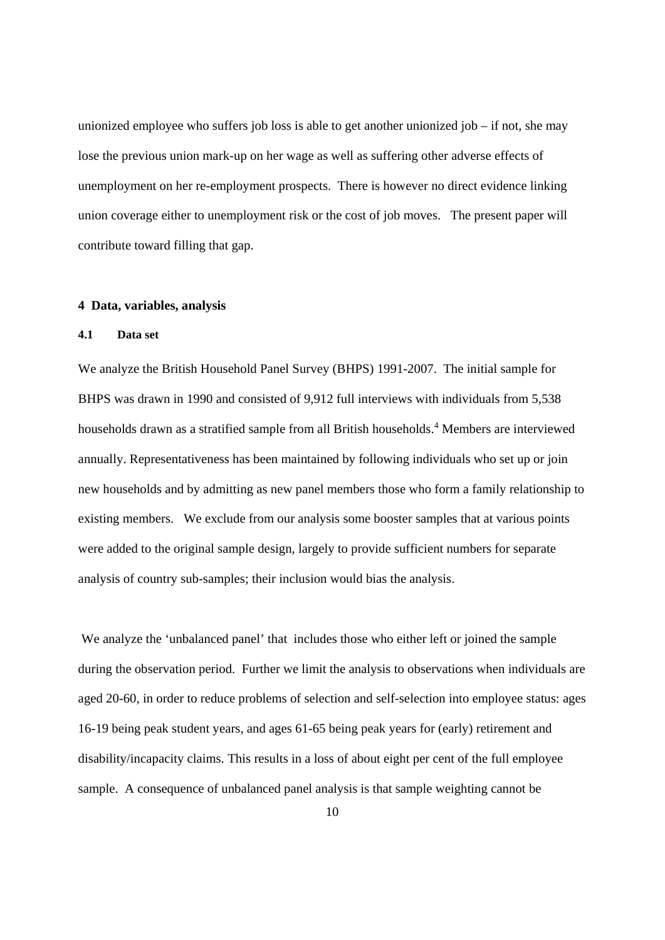unionized employee who suffers job loss is able to get another unionized job  $-$  if not, she may lose the previous union mark-up on her wage as well as suffering other adverse effects of unemployment on her re-employment prospects. There is however no direct evidence linking union coverage either to unemployment risk or the cost of job moves. The present paper will contribute toward filling that gap.

#### **4 Data, variables, analysis**

#### **4.1 Data set**

We analyze the British Household Panel Survey (BHPS) 1991-2007. The initial sample for BHPS was drawn in 1990 and consisted of 9,912 full interviews with individuals from 5,538 households drawn as a stratified sample from all British households.<sup>4</sup> Members are interviewed annually. Representativeness has been maintained by following individuals who set up or join new households and by admitting as new panel members those who form a family relationship to existing members. We exclude from our analysis some booster samples that at various points were added to the original sample design, largely to provide sufficient numbers for separate analysis of country sub-samples; their inclusion would bias the analysis.

 We analyze the 'unbalanced panel' that includes those who either left or joined the sample during the observation period. Further we limit the analysis to observations when individuals are aged 20-60, in order to reduce problems of selection and self-selection into employee status: ages 16-19 being peak student years, and ages 61-65 being peak years for (early) retirement and disability/incapacity claims. This results in a loss of about eight per cent of the full employee sample. A consequence of unbalanced panel analysis is that sample weighting cannot be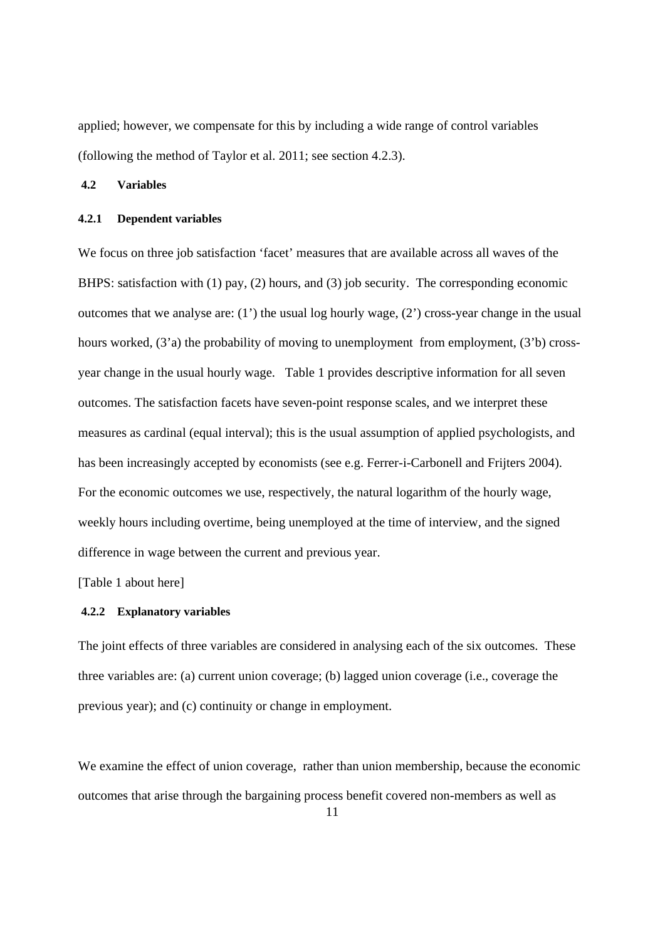applied; however, we compensate for this by including a wide range of control variables (following the method of Taylor et al. 2011; see section 4.2.3).

#### **4.2 Variables**

#### **4.2.1 Dependent variables**

We focus on three job satisfaction 'facet' measures that are available across all waves of the BHPS: satisfaction with (1) pay, (2) hours, and (3) job security. The corresponding economic outcomes that we analyse are: (1') the usual log hourly wage, (2') cross-year change in the usual hours worked, (3'a) the probability of moving to unemployment from employment, (3'b) crossyear change in the usual hourly wage. Table 1 provides descriptive information for all seven outcomes. The satisfaction facets have seven-point response scales, and we interpret these measures as cardinal (equal interval); this is the usual assumption of applied psychologists, and has been increasingly accepted by economists (see e.g. Ferrer-i-Carbonell and Frijters 2004). For the economic outcomes we use, respectively, the natural logarithm of the hourly wage, weekly hours including overtime, being unemployed at the time of interview, and the signed difference in wage between the current and previous year.

[Table 1 about here]

#### **4.2.2 Explanatory variables**

The joint effects of three variables are considered in analysing each of the six outcomes. These three variables are: (a) current union coverage; (b) lagged union coverage (i.e., coverage the previous year); and (c) continuity or change in employment.

We examine the effect of union coverage, rather than union membership, because the economic outcomes that arise through the bargaining process benefit covered non-members as well as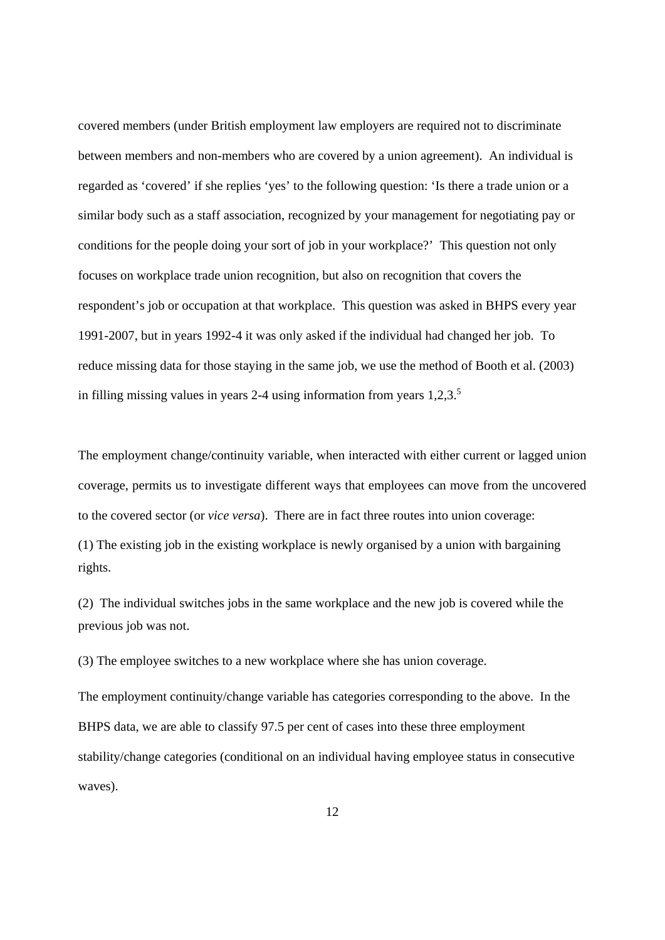covered members (under British employment law employers are required not to discriminate between members and non-members who are covered by a union agreement). An individual is regarded as 'covered' if she replies 'yes' to the following question: 'Is there a trade union or a similar body such as a staff association, recognized by your management for negotiating pay or conditions for the people doing your sort of job in your workplace?' This question not only focuses on workplace trade union recognition, but also on recognition that covers the respondent's job or occupation at that workplace. This question was asked in BHPS every year 1991-2007, but in years 1992-4 it was only asked if the individual had changed her job. To reduce missing data for those staying in the same job, we use the method of Booth et al. (2003) in filling missing values in years  $2-4$  using information from years  $1,2,3$ .<sup>5</sup>

The employment change/continuity variable, when interacted with either current or lagged union coverage, permits us to investigate different ways that employees can move from the uncovered to the covered sector (or *vice versa*). There are in fact three routes into union coverage: (1) The existing job in the existing workplace is newly organised by a union with bargaining rights.

(2) The individual switches jobs in the same workplace and the new job is covered while the previous job was not.

(3) The employee switches to a new workplace where she has union coverage.

The employment continuity/change variable has categories corresponding to the above. In the BHPS data, we are able to classify 97.5 per cent of cases into these three employment stability/change categories (conditional on an individual having employee status in consecutive waves).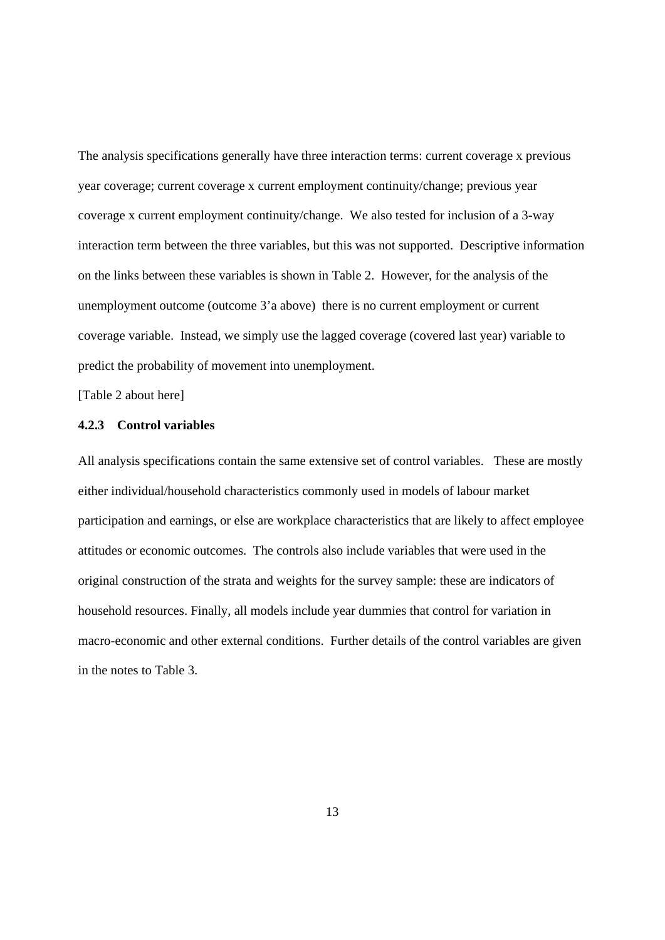The analysis specifications generally have three interaction terms: current coverage x previous year coverage; current coverage x current employment continuity/change; previous year coverage x current employment continuity/change. We also tested for inclusion of a 3-way interaction term between the three variables, but this was not supported. Descriptive information on the links between these variables is shown in Table 2. However, for the analysis of the unemployment outcome (outcome 3'a above) there is no current employment or current coverage variable. Instead, we simply use the lagged coverage (covered last year) variable to predict the probability of movement into unemployment.

[Table 2 about here]

#### **4.2.3 Control variables**

All analysis specifications contain the same extensive set of control variables. These are mostly either individual/household characteristics commonly used in models of labour market participation and earnings, or else are workplace characteristics that are likely to affect employee attitudes or economic outcomes. The controls also include variables that were used in the original construction of the strata and weights for the survey sample: these are indicators of household resources. Finally, all models include year dummies that control for variation in macro-economic and other external conditions. Further details of the control variables are given in the notes to Table 3.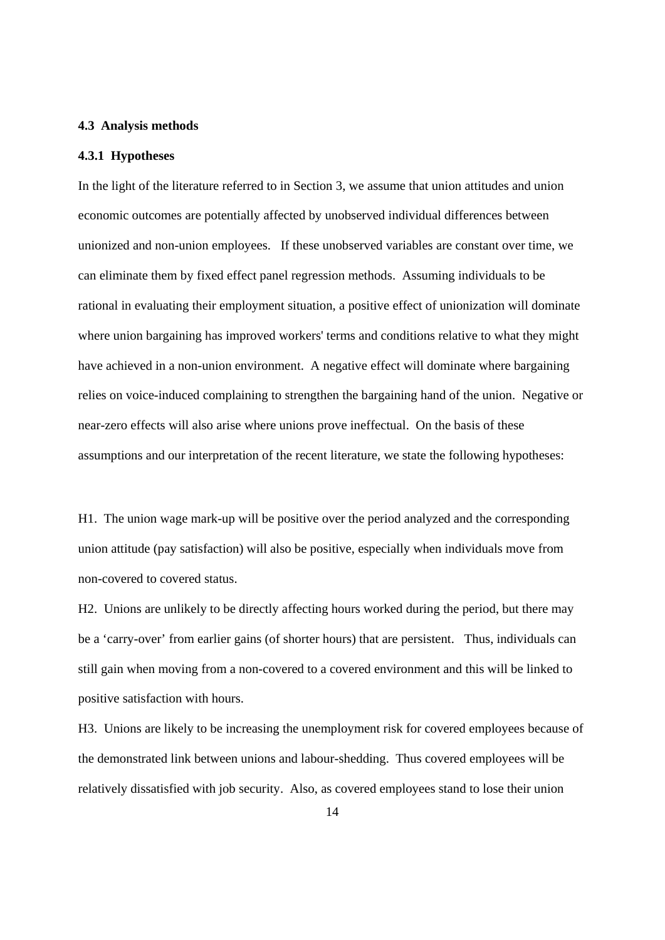#### **4.3 Analysis methods**

#### **4.3.1 Hypotheses**

In the light of the literature referred to in Section 3, we assume that union attitudes and union economic outcomes are potentially affected by unobserved individual differences between unionized and non-union employees. If these unobserved variables are constant over time, we can eliminate them by fixed effect panel regression methods. Assuming individuals to be rational in evaluating their employment situation, a positive effect of unionization will dominate where union bargaining has improved workers' terms and conditions relative to what they might have achieved in a non-union environment. A negative effect will dominate where bargaining relies on voice-induced complaining to strengthen the bargaining hand of the union. Negative or near-zero effects will also arise where unions prove ineffectual. On the basis of these assumptions and our interpretation of the recent literature, we state the following hypotheses:

H1. The union wage mark-up will be positive over the period analyzed and the corresponding union attitude (pay satisfaction) will also be positive, especially when individuals move from non-covered to covered status.

H2. Unions are unlikely to be directly affecting hours worked during the period, but there may be a 'carry-over' from earlier gains (of shorter hours) that are persistent. Thus, individuals can still gain when moving from a non-covered to a covered environment and this will be linked to positive satisfaction with hours.

H3. Unions are likely to be increasing the unemployment risk for covered employees because of the demonstrated link between unions and labour-shedding. Thus covered employees will be relatively dissatisfied with job security. Also, as covered employees stand to lose their union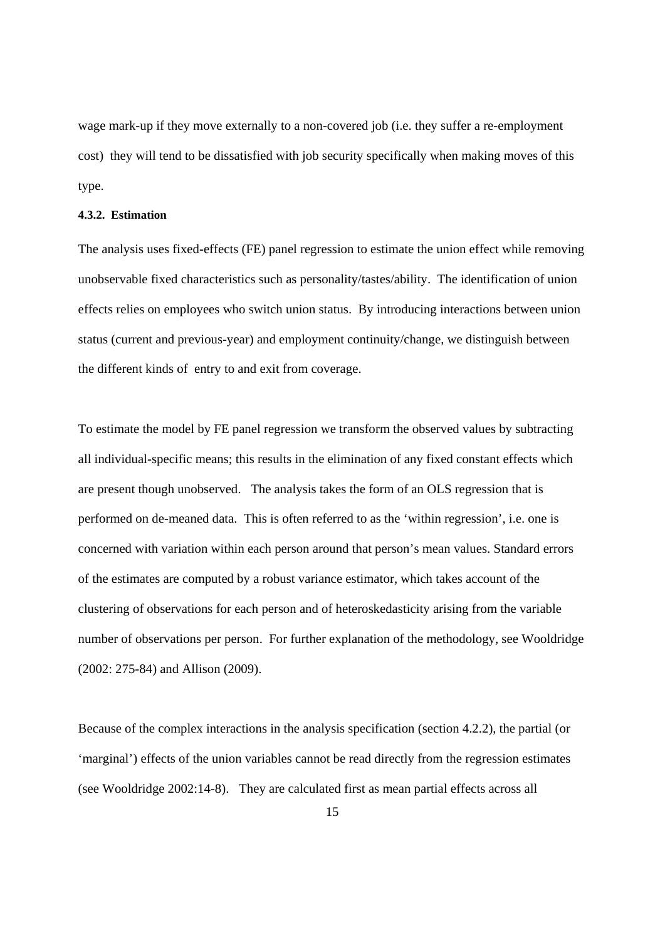wage mark-up if they move externally to a non-covered job (i.e. they suffer a re-employment cost) they will tend to be dissatisfied with job security specifically when making moves of this type.

#### **4.3.2. Estimation**

The analysis uses fixed-effects (FE) panel regression to estimate the union effect while removing unobservable fixed characteristics such as personality/tastes/ability. The identification of union effects relies on employees who switch union status. By introducing interactions between union status (current and previous-year) and employment continuity/change, we distinguish between the different kinds of entry to and exit from coverage.

To estimate the model by FE panel regression we transform the observed values by subtracting all individual-specific means; this results in the elimination of any fixed constant effects which are present though unobserved. The analysis takes the form of an OLS regression that is performed on de-meaned data. This is often referred to as the 'within regression', i.e. one is concerned with variation within each person around that person's mean values. Standard errors of the estimates are computed by a robust variance estimator, which takes account of the clustering of observations for each person and of heteroskedasticity arising from the variable number of observations per person. For further explanation of the methodology, see Wooldridge (2002: 275-84) and Allison (2009).

Because of the complex interactions in the analysis specification (section 4.2.2), the partial (or 'marginal') effects of the union variables cannot be read directly from the regression estimates (see Wooldridge 2002:14-8). They are calculated first as mean partial effects across all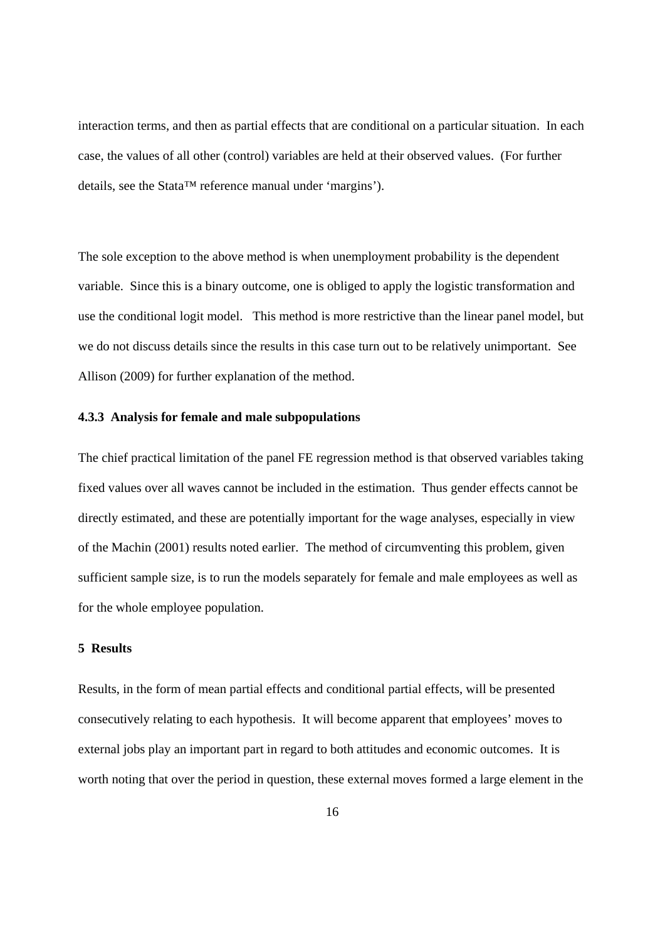interaction terms, and then as partial effects that are conditional on a particular situation. In each case, the values of all other (control) variables are held at their observed values. (For further details, see the Stata™ reference manual under 'margins').

The sole exception to the above method is when unemployment probability is the dependent variable. Since this is a binary outcome, one is obliged to apply the logistic transformation and use the conditional logit model. This method is more restrictive than the linear panel model, but we do not discuss details since the results in this case turn out to be relatively unimportant. See Allison (2009) for further explanation of the method.

#### **4.3.3 Analysis for female and male subpopulations**

The chief practical limitation of the panel FE regression method is that observed variables taking fixed values over all waves cannot be included in the estimation. Thus gender effects cannot be directly estimated, and these are potentially important for the wage analyses, especially in view of the Machin (2001) results noted earlier. The method of circumventing this problem, given sufficient sample size, is to run the models separately for female and male employees as well as for the whole employee population.

#### **5 Results**

Results, in the form of mean partial effects and conditional partial effects, will be presented consecutively relating to each hypothesis. It will become apparent that employees' moves to external jobs play an important part in regard to both attitudes and economic outcomes. It is worth noting that over the period in question, these external moves formed a large element in the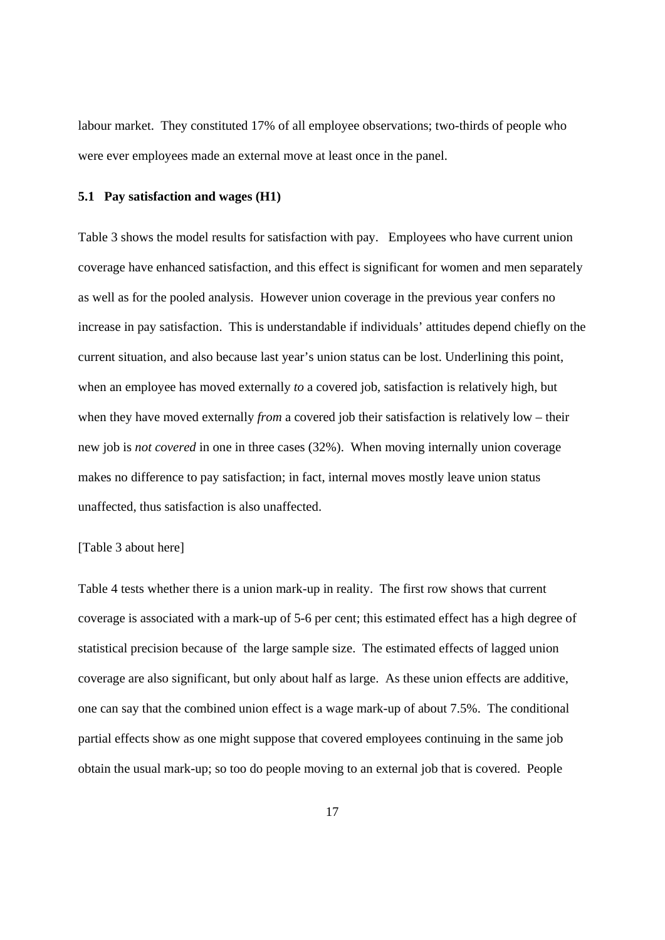labour market. They constituted 17% of all employee observations; two-thirds of people who were ever employees made an external move at least once in the panel.

#### **5.1 Pay satisfaction and wages (H1)**

Table 3 shows the model results for satisfaction with pay. Employees who have current union coverage have enhanced satisfaction, and this effect is significant for women and men separately as well as for the pooled analysis. However union coverage in the previous year confers no increase in pay satisfaction. This is understandable if individuals' attitudes depend chiefly on the current situation, and also because last year's union status can be lost. Underlining this point, when an employee has moved externally *to* a covered job, satisfaction is relatively high, but when they have moved externally *from* a covered job their satisfaction is relatively low – their new job is *not covered* in one in three cases (32%). When moving internally union coverage makes no difference to pay satisfaction; in fact, internal moves mostly leave union status unaffected, thus satisfaction is also unaffected.

#### [Table 3 about here]

Table 4 tests whether there is a union mark-up in reality. The first row shows that current coverage is associated with a mark-up of 5-6 per cent; this estimated effect has a high degree of statistical precision because of the large sample size. The estimated effects of lagged union coverage are also significant, but only about half as large. As these union effects are additive, one can say that the combined union effect is a wage mark-up of about 7.5%. The conditional partial effects show as one might suppose that covered employees continuing in the same job obtain the usual mark-up; so too do people moving to an external job that is covered. People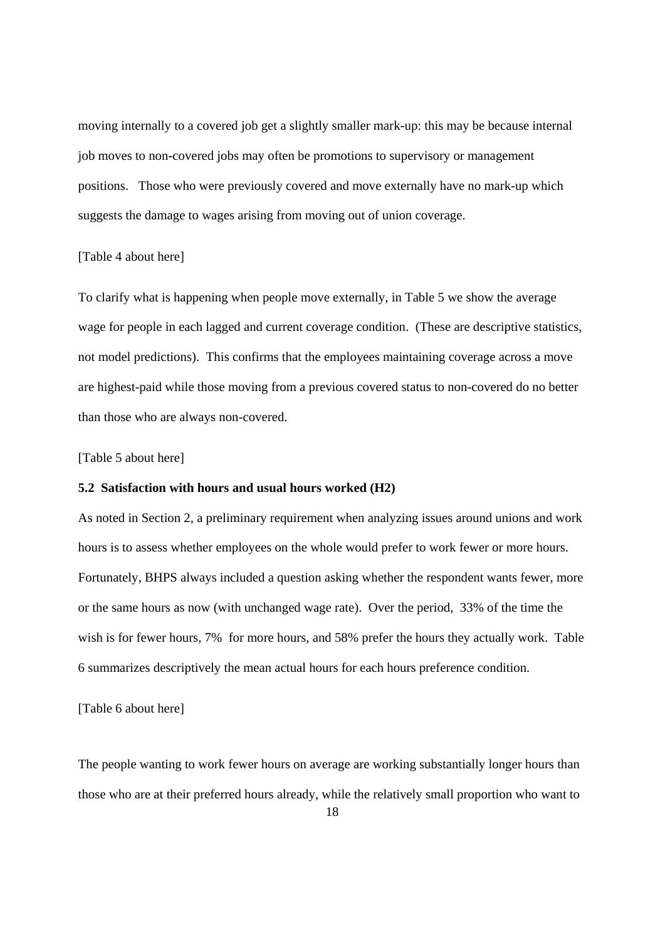moving internally to a covered job get a slightly smaller mark-up: this may be because internal job moves to non-covered jobs may often be promotions to supervisory or management positions. Those who were previously covered and move externally have no mark-up which suggests the damage to wages arising from moving out of union coverage.

#### [Table 4 about here]

To clarify what is happening when people move externally, in Table 5 we show the average wage for people in each lagged and current coverage condition. (These are descriptive statistics, not model predictions). This confirms that the employees maintaining coverage across a move are highest-paid while those moving from a previous covered status to non-covered do no better than those who are always non-covered.

#### [Table 5 about here]

#### **5.2 Satisfaction with hours and usual hours worked (H2)**

As noted in Section 2, a preliminary requirement when analyzing issues around unions and work hours is to assess whether employees on the whole would prefer to work fewer or more hours. Fortunately, BHPS always included a question asking whether the respondent wants fewer, more or the same hours as now (with unchanged wage rate). Over the period, 33% of the time the wish is for fewer hours, 7% for more hours, and 58% prefer the hours they actually work. Table 6 summarizes descriptively the mean actual hours for each hours preference condition.

[Table 6 about here]

The people wanting to work fewer hours on average are working substantially longer hours than those who are at their preferred hours already, while the relatively small proportion who want to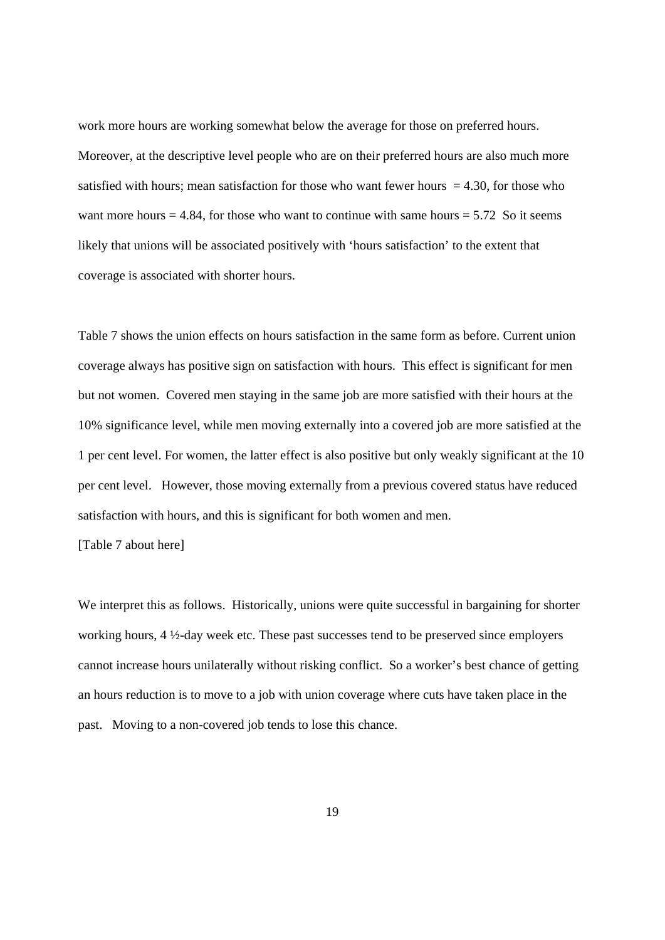work more hours are working somewhat below the average for those on preferred hours. Moreover, at the descriptive level people who are on their preferred hours are also much more satisfied with hours; mean satisfaction for those who want fewer hours  $= 4.30$ , for those who want more hours  $= 4.84$ , for those who want to continue with same hours  $= 5.72$  So it seems likely that unions will be associated positively with 'hours satisfaction' to the extent that coverage is associated with shorter hours.

Table 7 shows the union effects on hours satisfaction in the same form as before. Current union coverage always has positive sign on satisfaction with hours. This effect is significant for men but not women. Covered men staying in the same job are more satisfied with their hours at the 10% significance level, while men moving externally into a covered job are more satisfied at the 1 per cent level. For women, the latter effect is also positive but only weakly significant at the 10 per cent level. However, those moving externally from a previous covered status have reduced satisfaction with hours, and this is significant for both women and men.

[Table 7 about here]

We interpret this as follows. Historically, unions were quite successful in bargaining for shorter working hours, 4 ½-day week etc. These past successes tend to be preserved since employers cannot increase hours unilaterally without risking conflict. So a worker's best chance of getting an hours reduction is to move to a job with union coverage where cuts have taken place in the past. Moving to a non-covered job tends to lose this chance.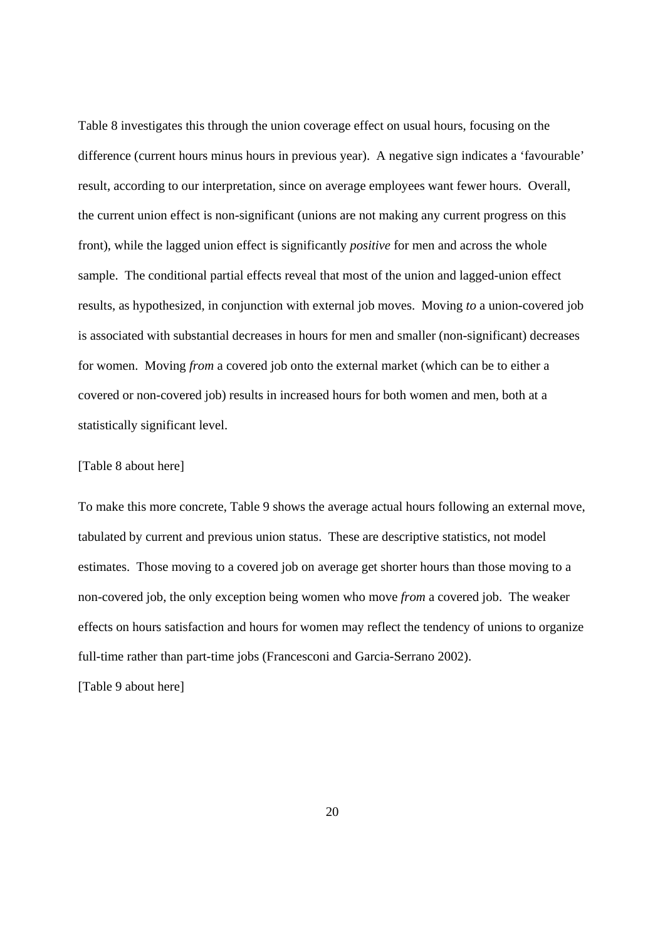Table 8 investigates this through the union coverage effect on usual hours, focusing on the difference (current hours minus hours in previous year). A negative sign indicates a 'favourable' result, according to our interpretation, since on average employees want fewer hours. Overall, the current union effect is non-significant (unions are not making any current progress on this front), while the lagged union effect is significantly *positive* for men and across the whole sample. The conditional partial effects reveal that most of the union and lagged-union effect results, as hypothesized, in conjunction with external job moves. Moving *to* a union-covered job is associated with substantial decreases in hours for men and smaller (non-significant) decreases for women. Moving *from* a covered job onto the external market (which can be to either a covered or non-covered job) results in increased hours for both women and men, both at a statistically significant level.

#### [Table 8 about here]

To make this more concrete, Table 9 shows the average actual hours following an external move, tabulated by current and previous union status. These are descriptive statistics, not model estimates. Those moving to a covered job on average get shorter hours than those moving to a non-covered job, the only exception being women who move *from* a covered job. The weaker effects on hours satisfaction and hours for women may reflect the tendency of unions to organize full-time rather than part-time jobs (Francesconi and Garcia-Serrano 2002).

[Table 9 about here]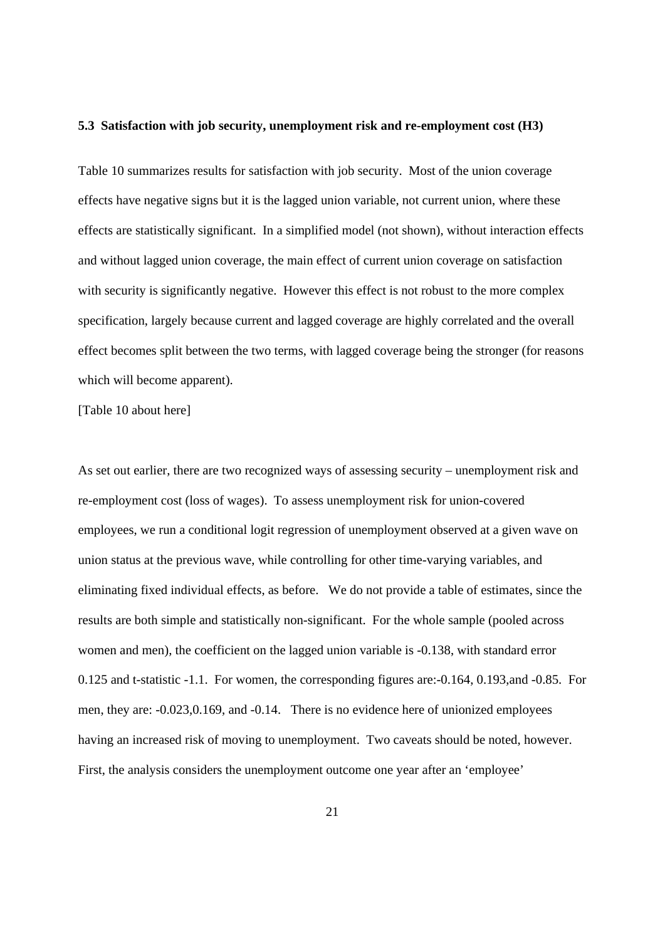#### **5.3 Satisfaction with job security, unemployment risk and re-employment cost (H3)**

Table 10 summarizes results for satisfaction with job security. Most of the union coverage effects have negative signs but it is the lagged union variable, not current union, where these effects are statistically significant. In a simplified model (not shown), without interaction effects and without lagged union coverage, the main effect of current union coverage on satisfaction with security is significantly negative. However this effect is not robust to the more complex specification, largely because current and lagged coverage are highly correlated and the overall effect becomes split between the two terms, with lagged coverage being the stronger (for reasons which will become apparent).

[Table 10 about here]

As set out earlier, there are two recognized ways of assessing security – unemployment risk and re-employment cost (loss of wages). To assess unemployment risk for union-covered employees, we run a conditional logit regression of unemployment observed at a given wave on union status at the previous wave, while controlling for other time-varying variables, and eliminating fixed individual effects, as before. We do not provide a table of estimates, since the results are both simple and statistically non-significant. For the whole sample (pooled across women and men), the coefficient on the lagged union variable is -0.138, with standard error 0.125 and t-statistic -1.1. For women, the corresponding figures are:-0.164, 0.193,and -0.85. For men, they are: -0.023,0.169, and -0.14. There is no evidence here of unionized employees having an increased risk of moving to unemployment. Two caveats should be noted, however. First, the analysis considers the unemployment outcome one year after an 'employee'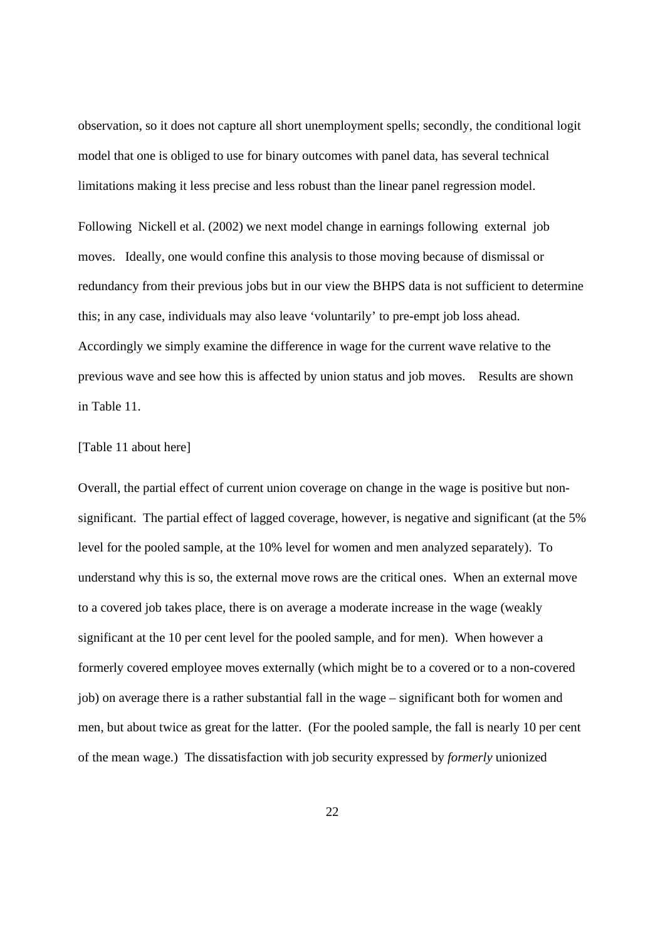observation, so it does not capture all short unemployment spells; secondly, the conditional logit model that one is obliged to use for binary outcomes with panel data, has several technical limitations making it less precise and less robust than the linear panel regression model.

Following Nickell et al. (2002) we next model change in earnings following external job moves. Ideally, one would confine this analysis to those moving because of dismissal or redundancy from their previous jobs but in our view the BHPS data is not sufficient to determine this; in any case, individuals may also leave 'voluntarily' to pre-empt job loss ahead. Accordingly we simply examine the difference in wage for the current wave relative to the previous wave and see how this is affected by union status and job moves. Results are shown in Table 11.

#### [Table 11 about here]

Overall, the partial effect of current union coverage on change in the wage is positive but nonsignificant. The partial effect of lagged coverage, however, is negative and significant (at the 5% level for the pooled sample, at the 10% level for women and men analyzed separately). To understand why this is so, the external move rows are the critical ones. When an external move to a covered job takes place, there is on average a moderate increase in the wage (weakly significant at the 10 per cent level for the pooled sample, and for men). When however a formerly covered employee moves externally (which might be to a covered or to a non-covered job) on average there is a rather substantial fall in the wage – significant both for women and men, but about twice as great for the latter. (For the pooled sample, the fall is nearly 10 per cent of the mean wage.) The dissatisfaction with job security expressed by *formerly* unionized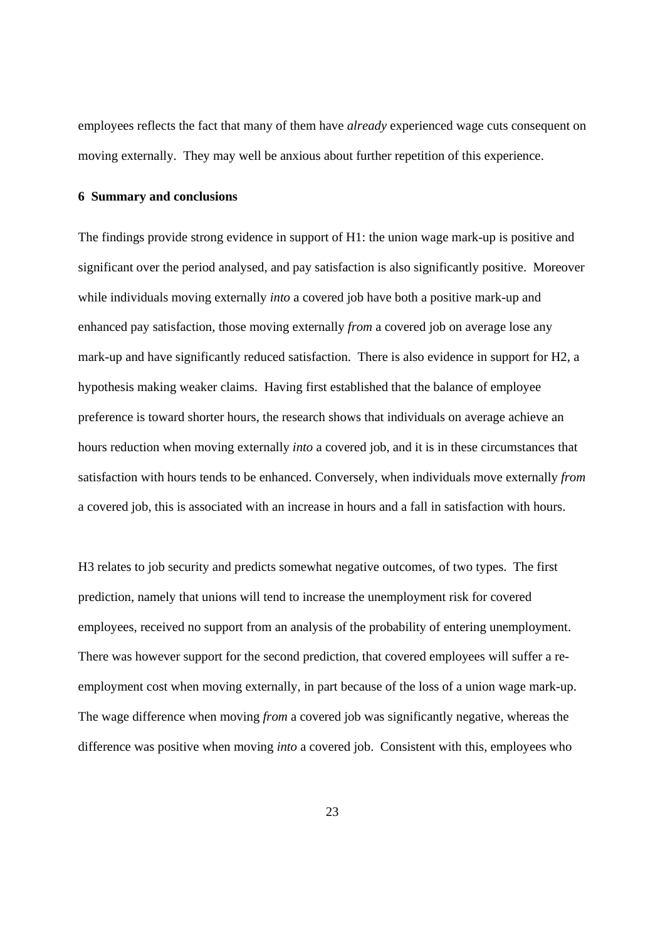employees reflects the fact that many of them have *already* experienced wage cuts consequent on moving externally. They may well be anxious about further repetition of this experience.

#### **6 Summary and conclusions**

The findings provide strong evidence in support of H1: the union wage mark-up is positive and significant over the period analysed, and pay satisfaction is also significantly positive. Moreover while individuals moving externally *into* a covered job have both a positive mark-up and enhanced pay satisfaction, those moving externally *from* a covered job on average lose any mark-up and have significantly reduced satisfaction. There is also evidence in support for H2, a hypothesis making weaker claims. Having first established that the balance of employee preference is toward shorter hours, the research shows that individuals on average achieve an hours reduction when moving externally *into* a covered job, and it is in these circumstances that satisfaction with hours tends to be enhanced. Conversely, when individuals move externally *from* a covered job, this is associated with an increase in hours and a fall in satisfaction with hours.

H3 relates to job security and predicts somewhat negative outcomes, of two types. The first prediction, namely that unions will tend to increase the unemployment risk for covered employees, received no support from an analysis of the probability of entering unemployment. There was however support for the second prediction, that covered employees will suffer a reemployment cost when moving externally, in part because of the loss of a union wage mark-up. The wage difference when moving *from* a covered job was significantly negative, whereas the difference was positive when moving *into* a covered job. Consistent with this, employees who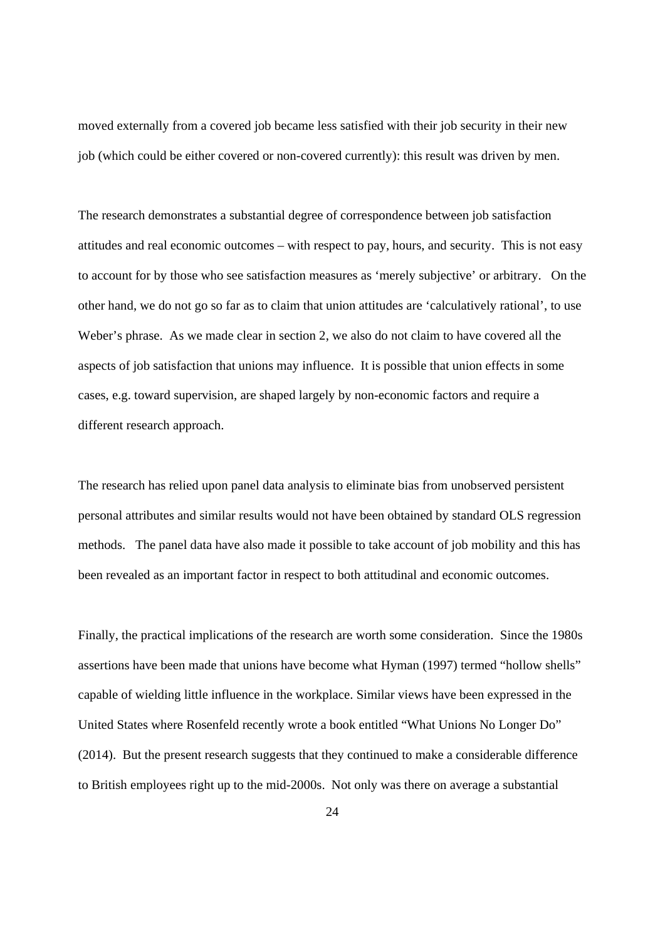moved externally from a covered job became less satisfied with their job security in their new job (which could be either covered or non-covered currently): this result was driven by men.

The research demonstrates a substantial degree of correspondence between job satisfaction attitudes and real economic outcomes – with respect to pay, hours, and security. This is not easy to account for by those who see satisfaction measures as 'merely subjective' or arbitrary. On the other hand, we do not go so far as to claim that union attitudes are 'calculatively rational', to use Weber's phrase. As we made clear in section 2, we also do not claim to have covered all the aspects of job satisfaction that unions may influence. It is possible that union effects in some cases, e.g. toward supervision, are shaped largely by non-economic factors and require a different research approach.

The research has relied upon panel data analysis to eliminate bias from unobserved persistent personal attributes and similar results would not have been obtained by standard OLS regression methods. The panel data have also made it possible to take account of job mobility and this has been revealed as an important factor in respect to both attitudinal and economic outcomes.

Finally, the practical implications of the research are worth some consideration. Since the 1980s assertions have been made that unions have become what Hyman (1997) termed "hollow shells" capable of wielding little influence in the workplace. Similar views have been expressed in the United States where Rosenfeld recently wrote a book entitled "What Unions No Longer Do" (2014). But the present research suggests that they continued to make a considerable difference to British employees right up to the mid-2000s. Not only was there on average a substantial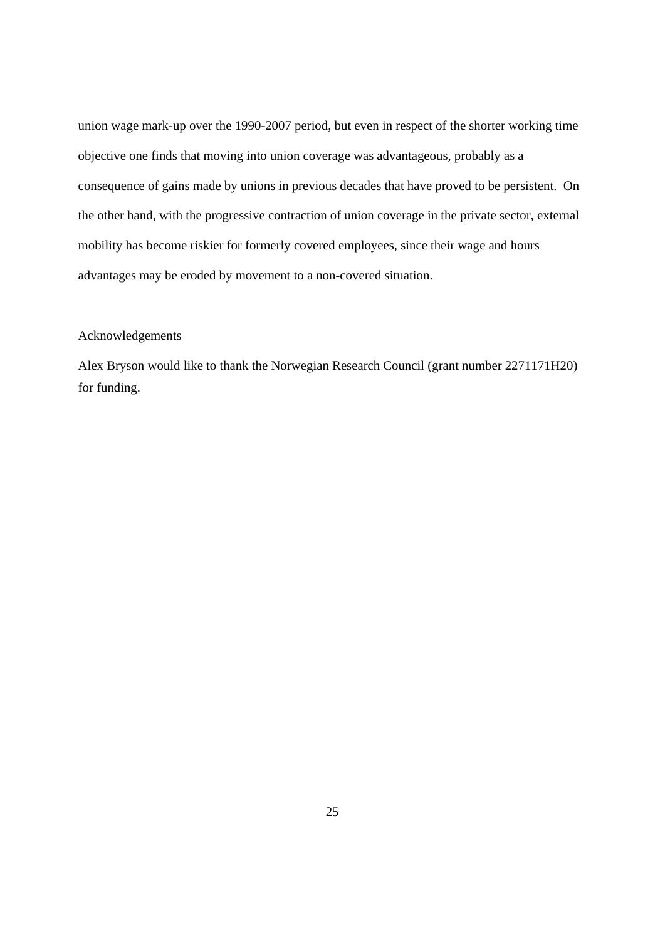union wage mark-up over the 1990-2007 period, but even in respect of the shorter working time objective one finds that moving into union coverage was advantageous, probably as a consequence of gains made by unions in previous decades that have proved to be persistent. On the other hand, with the progressive contraction of union coverage in the private sector, external mobility has become riskier for formerly covered employees, since their wage and hours advantages may be eroded by movement to a non-covered situation.

#### Acknowledgements

Alex Bryson would like to thank the Norwegian Research Council (grant number 2271171H20) for funding.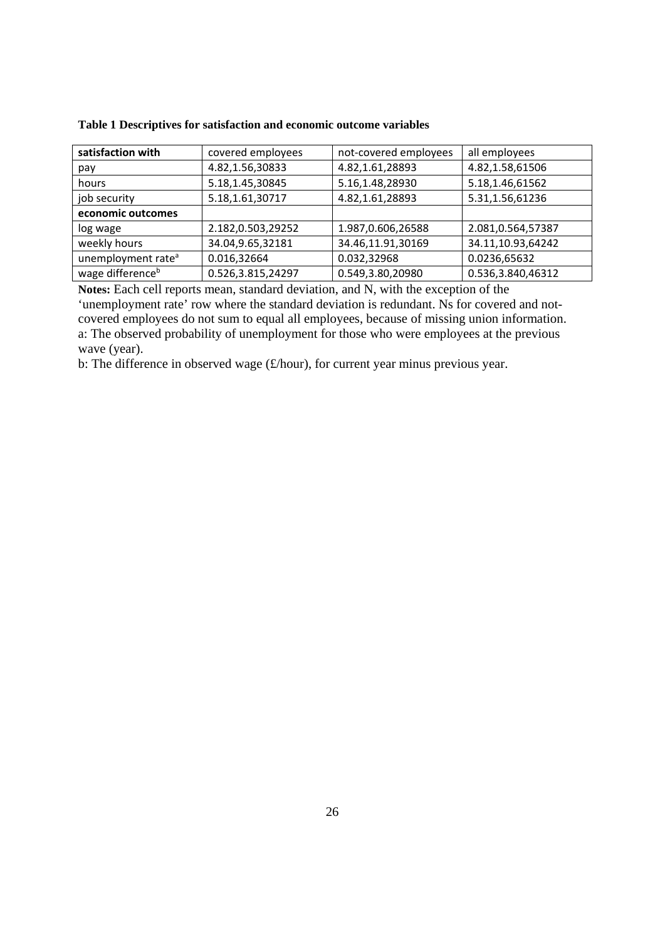| satisfaction with              | covered employees | not-covered employees | all employees     |
|--------------------------------|-------------------|-----------------------|-------------------|
| pay                            | 4.82,1.56,30833   | 4.82,1.61,28893       | 4.82,1.58,61506   |
| hours                          | 5.18,1.45,30845   | 5.16,1.48,28930       | 5.18,1.46,61562   |
| job security                   | 5.18,1.61,30717   | 4.82,1.61,28893       | 5.31,1.56,61236   |
| economic outcomes              |                   |                       |                   |
| log wage                       | 2.182,0.503,29252 | 1.987,0.606,26588     | 2.081,0.564,57387 |
| weekly hours                   | 34.04,9.65,32181  | 34.46,11.91,30169     | 34.11,10.93,64242 |
| unemployment rate <sup>a</sup> | 0.016,32664       | 0.032,32968           | 0.0236,65632      |
| wage difference <sup>b</sup>   | 0.526,3.815,24297 | 0.549,3.80,20980      | 0.536,3.840,46312 |

**Table 1 Descriptives for satisfaction and economic outcome variables** 

**Notes:** Each cell reports mean, standard deviation, and N, with the exception of the 'unemployment rate' row where the standard deviation is redundant. Ns for covered and notcovered employees do not sum to equal all employees, because of missing union information. a: The observed probability of unemployment for those who were employees at the previous wave (year).

b: The difference in observed wage (£/hour), for current year minus previous year.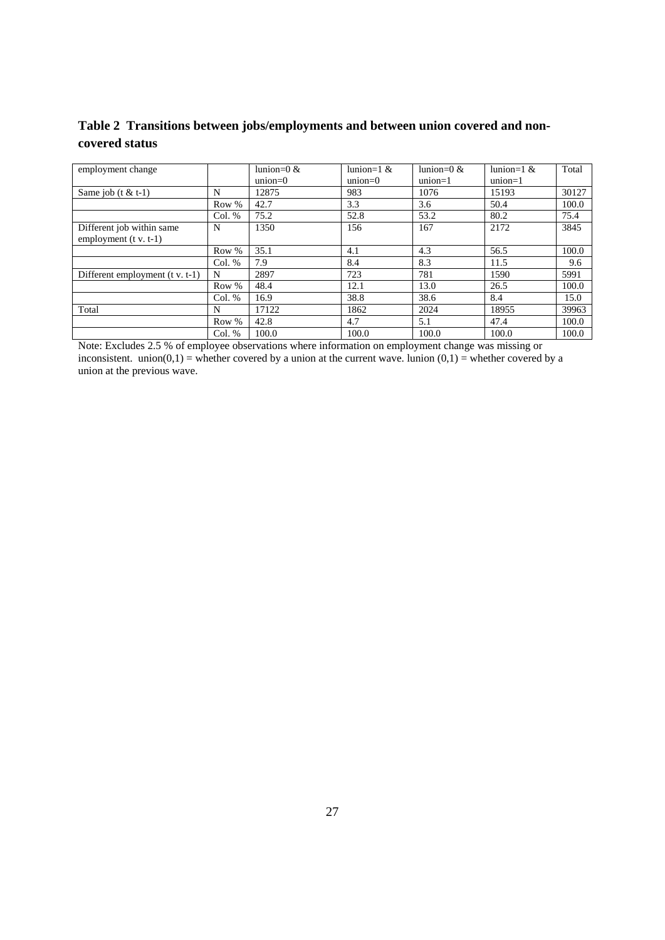**Table 2 Transitions between jobs/employments and between union covered and noncovered status** 

| employment change                                    |          | lunion= $0 < x$<br>$union=0$ | lunion= $1 &e$<br>$union=0$ | lunion= $0 < x$<br>$union=1$ | lunion=1 $\&$<br>$union=1$ | Total |
|------------------------------------------------------|----------|------------------------------|-----------------------------|------------------------------|----------------------------|-------|
| Same job $(t < t-1)$                                 | N        | 12875                        | 983                         | 1076                         | 15193                      | 30127 |
|                                                      | Row %    | 42.7                         | 3.3                         | 3.6                          | 50.4                       | 100.0 |
|                                                      | Col. %   | 75.2                         | 52.8                        | 53.2                         | 80.2                       | 75.4  |
| Different job within same<br>employment $(t v. t-1)$ | N        | 1350                         | 156                         | 167                          | 2172                       | 3845  |
|                                                      | Row %    | 35.1                         | 4.1                         | 4.3                          | 56.5                       | 100.0 |
|                                                      | Col. %   | 7.9                          | 8.4                         | 8.3                          | 11.5                       | 9.6   |
| Different employment $(t v. t-1)$                    | N        | 2897                         | 723                         | 781                          | 1590                       | 5991  |
|                                                      | Row %    | 48.4                         | 12.1                        | 13.0                         | 26.5                       | 100.0 |
|                                                      | Col. %   | 16.9                         | 38.8                        | 38.6                         | 8.4                        | 15.0  |
| Total                                                | N        | 17122                        | 1862                        | 2024                         | 18955                      | 39963 |
|                                                      | Row %    | 42.8                         | 4.7                         | 5.1                          | 47.4                       | 100.0 |
|                                                      | Col. $%$ | 100.0                        | 100.0                       | 100.0                        | 100.0                      | 100.0 |

Note: Excludes 2.5 % of employee observations where information on employment change was missing or inconsistent. union( $0,1$ ) = whether covered by a union at the current wave. lunion  $(0,1)$  = whether covered by a union at the previous wave.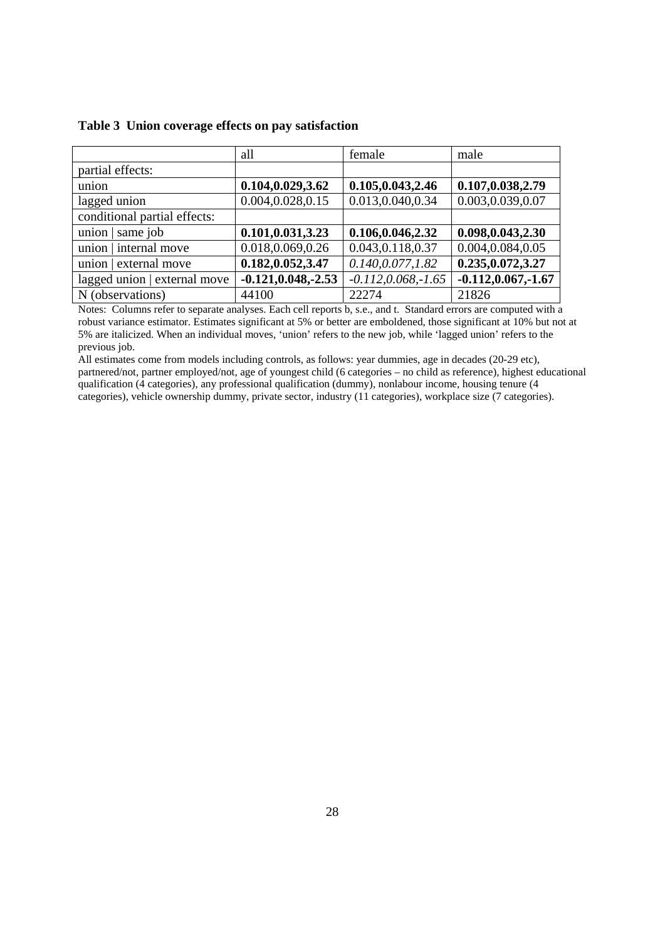|                              | all                    | female                 | male                   |
|------------------------------|------------------------|------------------------|------------------------|
| partial effects:             |                        |                        |                        |
| union                        | 0.104,0.029,3.62       | 0.105, 0.043, 2.46     | 0.107,0.038,2.79       |
| lagged union                 | 0.004,0.028,0.15       | 0.013,0.040,0.34       | 0.003,0.039,0.07       |
| conditional partial effects: |                        |                        |                        |
| union $\vert$ same job       | 0.101,0.031,3.23       | 0.106,0.046,2.32       | 0.098, 0.043, 2.30     |
| union   internal move        | 0.018,0.069,0.26       | 0.043, 0.118, 0.37     | 0.004,0.084,0.05       |
| union   external move        | 0.182,0.052,3.47       | 0.140, 0.077, 1.82     | 0.235, 0.072, 3.27     |
| lagged union   external move | $-0.121, 0.048, -2.53$ | $-0.112, 0.068, -1.65$ | $-0.112, 0.067, -1.67$ |
| N (observations)             | 44100                  | 22274                  | 21826                  |

#### **Table 3 Union coverage effects on pay satisfaction**

Notes: Columns refer to separate analyses. Each cell reports b, s.e., and t. Standard errors are computed with a robust variance estimator. Estimates significant at 5% or better are emboldened, those significant at 10% but not at 5% are italicized. When an individual moves, 'union' refers to the new job, while 'lagged union' refers to the previous job.

All estimates come from models including controls, as follows: year dummies, age in decades (20-29 etc), partnered/not, partner employed/not, age of youngest child (6 categories – no child as reference), highest educational qualification (4 categories), any professional qualification (dummy), nonlabour income, housing tenure (4 categories), vehicle ownership dummy, private sector, industry (11 categories), workplace size (7 categories).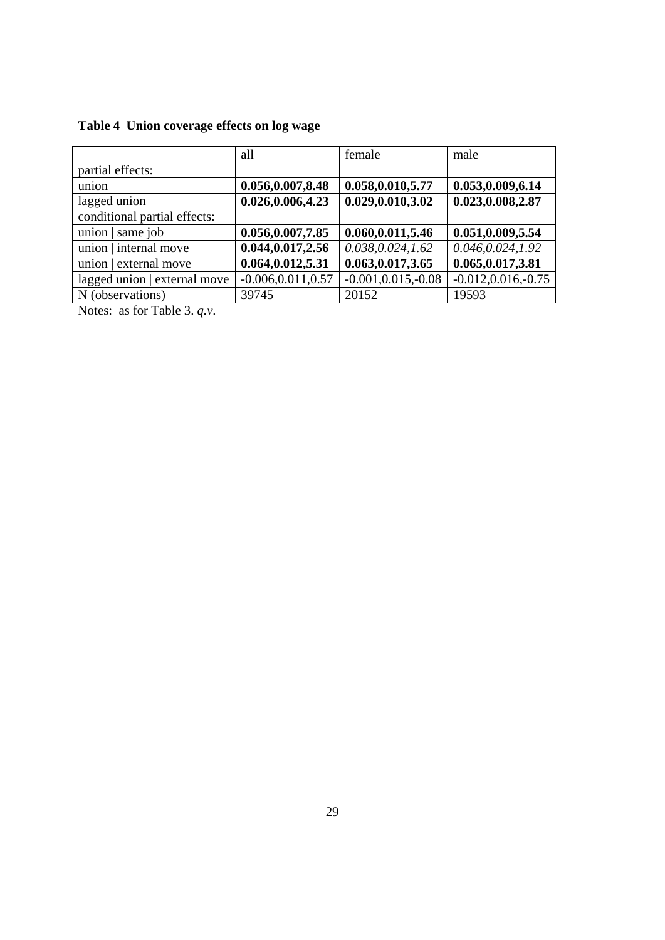|  | Table 4 Union coverage effects on log wage |  |  |
|--|--------------------------------------------|--|--|
|  |                                            |  |  |

|                              | all                   | female                 | male                   |
|------------------------------|-----------------------|------------------------|------------------------|
| partial effects:             |                       |                        |                        |
| union                        | 0.056,0.007,8.48      | 0.058,0.010,5.77       | 0.053,0.009,6.14       |
| lagged union                 | 0.026,0.006,4.23      | 0.029,0.010,3.02       | 0.023,0.008,2.87       |
| conditional partial effects: |                       |                        |                        |
| union $\vert$ same job       | 0.056,0.007,7.85      | 0.060,0.011,5.46       | 0.051,0.009,5.54       |
| union   internal move        | 0.044, 0.017, 2.56    | 0.038, 0.024, 1.62     | 0.046, 0.024, 1.92     |
| union   external move        | 0.064,0.012,5.31      | 0.063, 0.017, 3.65     | 0.065, 0.017, 3.81     |
| lagged union   external move | $-0.006, 0.011, 0.57$ | $-0.001, 0.015, -0.08$ | $-0.012, 0.016, -0.75$ |
| N (observations)             | 39745                 | 20152                  | 19593                  |

Notes: as for Table 3. *q.v*.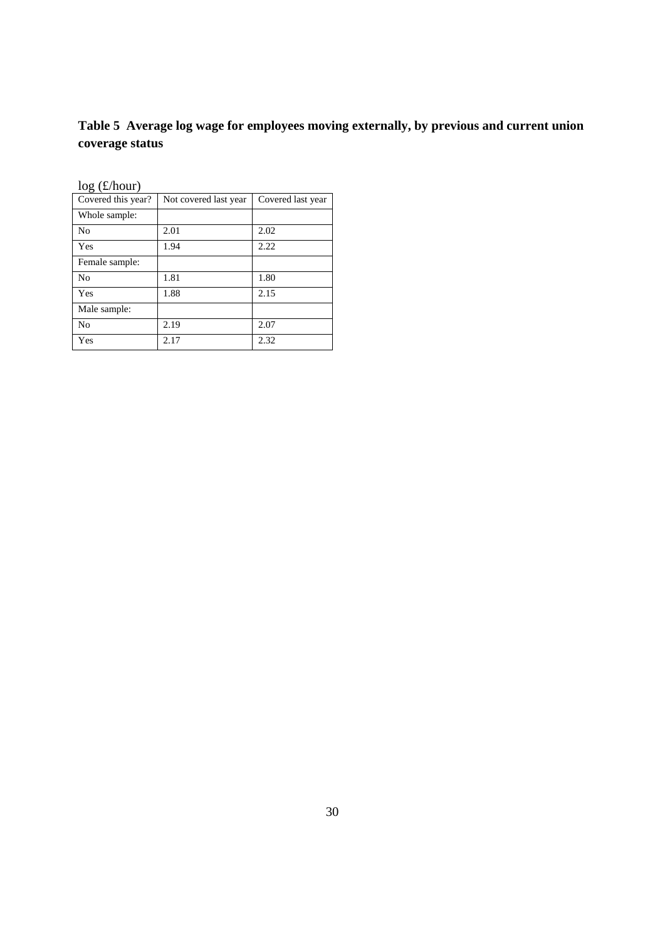# **Table 5 Average log wage for employees moving externally, by previous and current union coverage status**

| log(x/100u)        |                       |                   |
|--------------------|-----------------------|-------------------|
| Covered this year? | Not covered last year | Covered last year |
| Whole sample:      |                       |                   |
| N <sub>0</sub>     | 2.01                  | 2.02              |
| Yes                | 1.94                  | 2.22              |
| Female sample:     |                       |                   |
| N <sub>0</sub>     | 1.81                  | 1.80              |
| Yes                | 1.88                  | 2.15              |
| Male sample:       |                       |                   |
| N <sub>0</sub>     | 2.19                  | 2.07              |
| Yes                | 2.17                  | 2.32              |

 $\log(f/\text{hour})$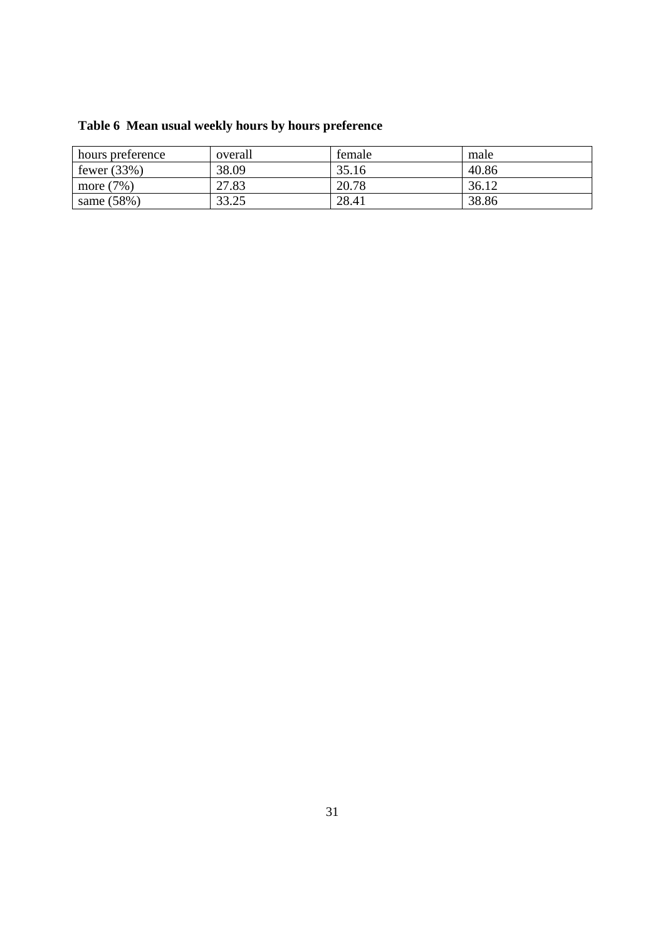| hours preference | overall | temale | male  |
|------------------|---------|--------|-------|
| fewer $(33%)$    | 38.09   | 35.16  | 40.86 |
| more $(7%)$      | 27.83   | 20.78  | 36.12 |
| same $(58%)$     | 33.25   | 28.41  | 38.86 |

# **Table 6 Mean usual weekly hours by hours preference**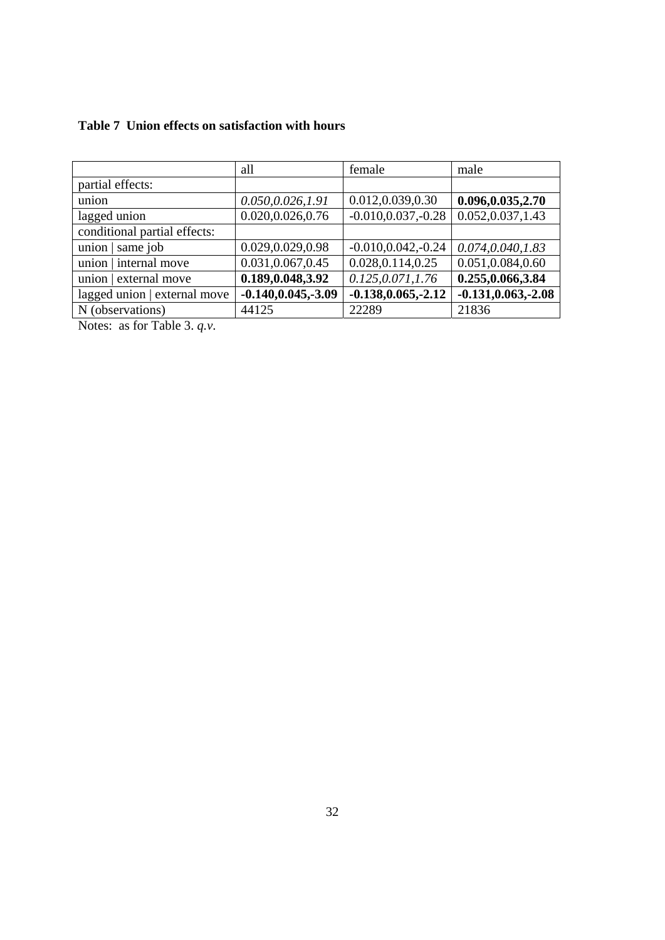| Table 7 Union effects on satisfaction with hours |  |  |  |  |
|--------------------------------------------------|--|--|--|--|
|--------------------------------------------------|--|--|--|--|

|                              | all                    | female                 | male                   |
|------------------------------|------------------------|------------------------|------------------------|
| partial effects:             |                        |                        |                        |
| union                        | 0.050, 0.026, 1.91     | 0.012,0.039,0.30       | 0.096, 0.035, 2.70     |
| lagged union                 | 0.020,0.026,0.76       | $-0.010, 0.037, -0.28$ | 0.052,0.037,1.43       |
| conditional partial effects: |                        |                        |                        |
| union $\vert$ same job       | 0.029,0.029,0.98       | $-0.010, 0.042, -0.24$ | 0.074, 0.040, 1.83     |
| union   internal move        | 0.031,0.067,0.45       | 0.028, 0.114, 0.25     | 0.051,0.084,0.60       |
| union   external move        | 0.189, 0.048, 3.92     | 0.125, 0.071, 1.76     | 0.255,0.066,3.84       |
| lagged union   external move | $-0.140, 0.045, -3.09$ | $-0.138, 0.065, -2.12$ | $-0.131, 0.063, -2.08$ |
| N (observations)             | 44125                  | 22289                  | 21836                  |

Notes: as for Table 3. *q.v*.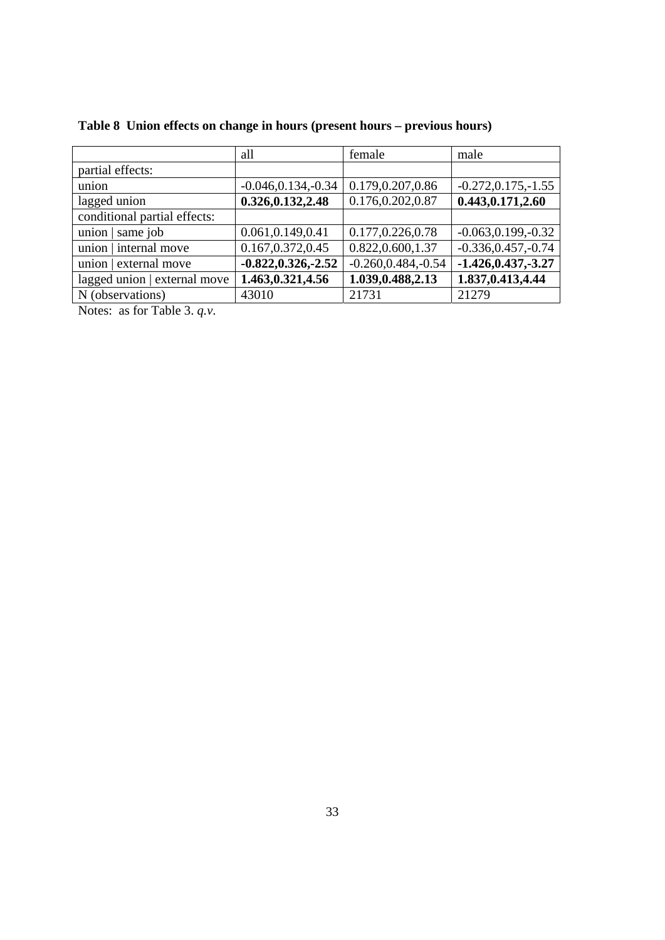|                                                                               | all                    | female                 | male                   |
|-------------------------------------------------------------------------------|------------------------|------------------------|------------------------|
| partial effects:                                                              |                        |                        |                        |
| union                                                                         | $-0.046, 0.134, -0.34$ | 0.179,0.207,0.86       | $-0.272, 0.175, -1.55$ |
| lagged union                                                                  | 0.326, 0.132, 2.48     | 0.176,0.202,0.87       | 0.443, 0.171, 2.60     |
| conditional partial effects:                                                  |                        |                        |                        |
| union $\vert$ same job                                                        | 0.061,0.149,0.41       | 0.177,0.226,0.78       | $-0.063, 0.199, -0.32$ |
| union   internal move                                                         | 0.167, 0.372, 0.45     | 0.822,0.600,1.37       | $-0.336, 0.457, -0.74$ |
| union   external move                                                         | $-0.822, 0.326, -2.52$ | $-0.260, 0.484, -0.54$ | $-1.426, 0.437, -3.27$ |
| lagged union   external move                                                  | 1.463, 0.321, 4.56     | 1.039, 0.488, 2.13     | 1.837, 0.413, 4.44     |
| N (observations)                                                              | 43010                  | 21731                  | 21279                  |
| $\mathbf{r}$ $\mathbf{r}$ $\mathbf{r}$ $\mathbf{r}$ $\mathbf{r}$ $\mathbf{r}$ |                        |                        |                        |

# **Table 8 Union effects on change in hours (present hours – previous hours)**

Notes: as for Table 3. *q.v*.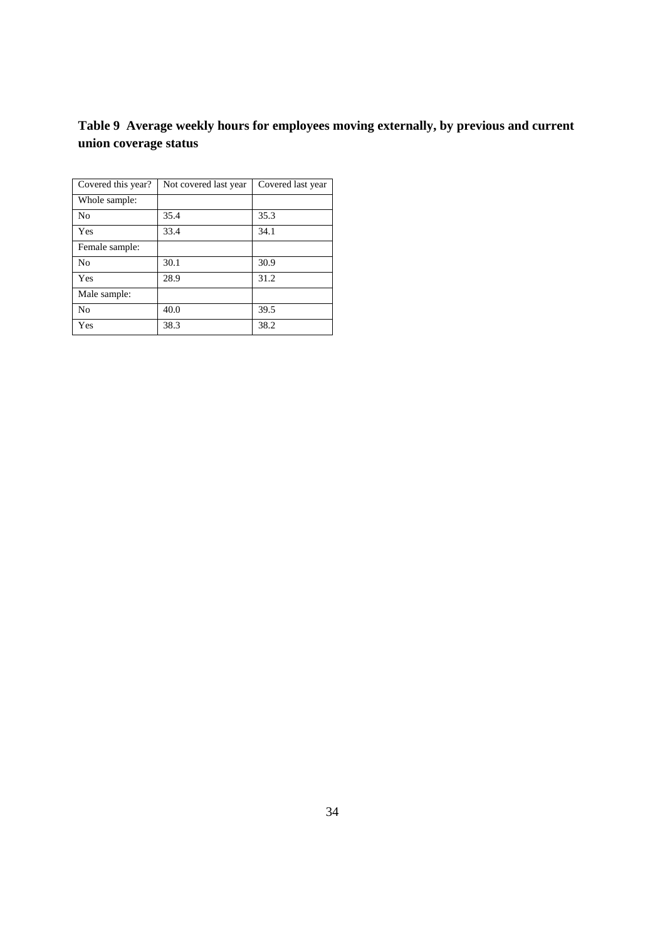### **Table 9 Average weekly hours for employees moving externally, by previous and current union coverage status**

| Covered this year? | Not covered last year | Covered last year |
|--------------------|-----------------------|-------------------|
| Whole sample:      |                       |                   |
| N <sub>0</sub>     | 35.4                  | 35.3              |
| Yes                | 33.4                  | 34.1              |
| Female sample:     |                       |                   |
| N <sub>0</sub>     | 30.1                  | 30.9              |
| Yes                | 28.9                  | 31.2              |
| Male sample:       |                       |                   |
| N <sub>0</sub>     | 40.0                  | 39.5              |
| Yes                | 38.3                  | 38.2              |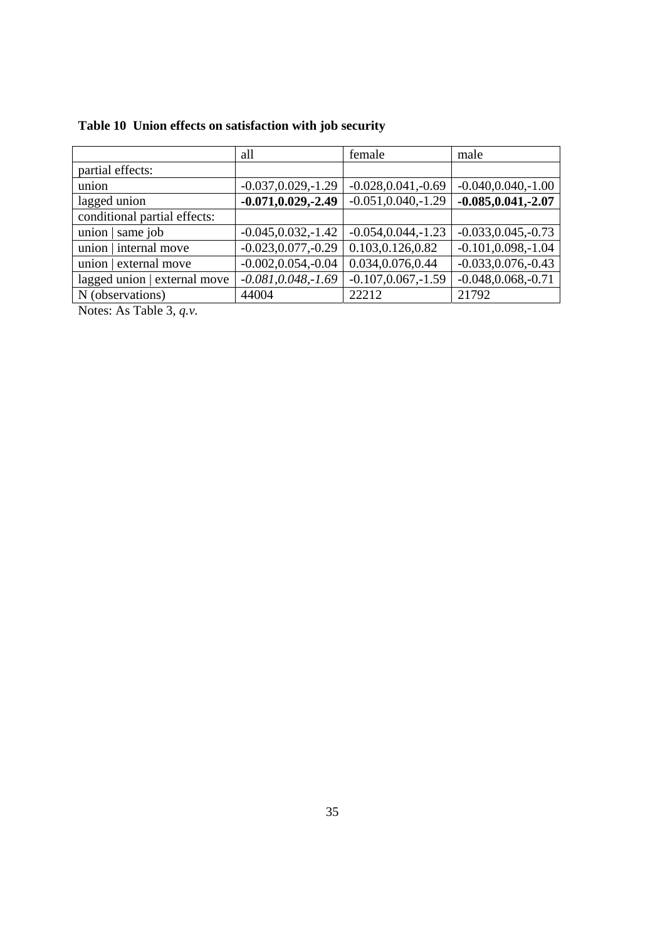|  |  | Table 10 Union effects on satisfaction with job security |  |  |
|--|--|----------------------------------------------------------|--|--|
|  |  |                                                          |  |  |

|                                                                               | all                    | female                 | male                   |  |
|-------------------------------------------------------------------------------|------------------------|------------------------|------------------------|--|
| partial effects:                                                              |                        |                        |                        |  |
| union                                                                         | $-0.037, 0.029, -1.29$ | $-0.028, 0.041, -0.69$ | $-0.040, 0.040, -1.00$ |  |
| lagged union                                                                  | $-0.071, 0.029, -2.49$ | $-0.051, 0.040, -1.29$ | $-0.085, 0.041, -2.07$ |  |
| conditional partial effects:                                                  |                        |                        |                        |  |
| union $\vert$ same job                                                        | $-0.045, 0.032, -1.42$ | $-0.054, 0.044, -1.23$ | $-0.033, 0.045, -0.73$ |  |
| union   internal move                                                         | $-0.023, 0.077, -0.29$ | 0.103,0.126,0.82       | $-0.101, 0.098, -1.04$ |  |
| union   external move                                                         | $-0.002, 0.054, -0.04$ | 0.034,0.076,0.44       | $-0.033, 0.076, -0.43$ |  |
| lagged union   external move                                                  | $-0.081, 0.048, -1.69$ | $-0.107, 0.067, -1.59$ | $-0.048, 0.068, -0.71$ |  |
| N (observations)                                                              | 44004                  | 22212                  | 21792                  |  |
| $\mathbf{M}$ $\mathbf{M}$ $\mathbf{M}$ $\mathbf{M}$ $\mathbf{M}$ $\mathbf{M}$ |                        |                        |                        |  |

Notes: As Table 3, *q.v.*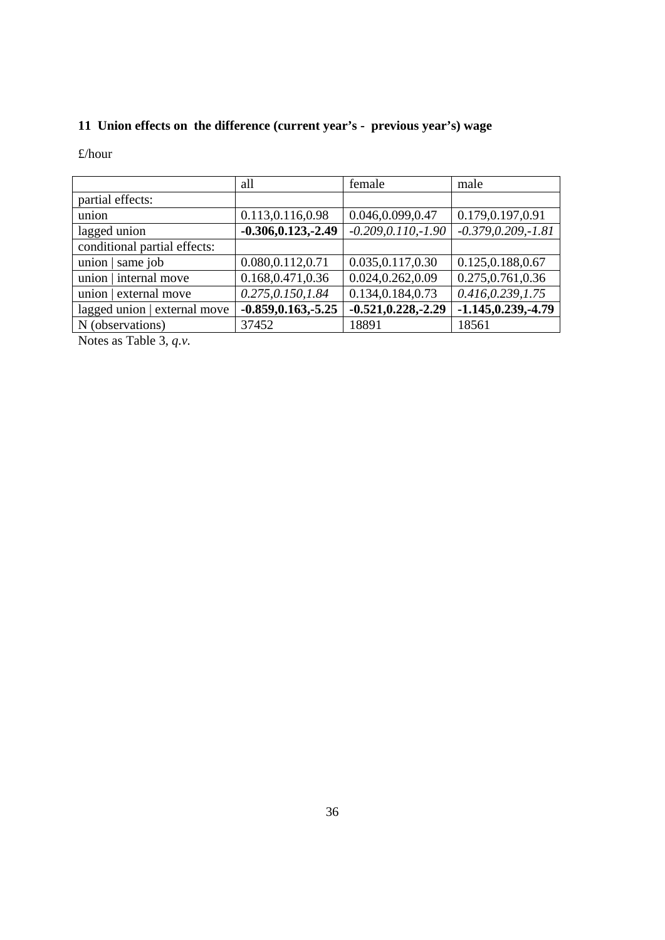# **11 Union effects on the difference (current year's - previous year's) wage**

£/hour

|                              | all                    | female                 | male                   |
|------------------------------|------------------------|------------------------|------------------------|
| partial effects:             |                        |                        |                        |
| union                        | 0.113,0.116,0.98       | 0.046,0.099,0.47       | 0.179,0.197,0.91       |
| lagged union                 | $-0.306, 0.123, -2.49$ | $-0.209, 0.110, -1.90$ | $-0.379, 0.209, -1.81$ |
| conditional partial effects: |                        |                        |                        |
| union $\vert$ same job       | 0.080,0.112,0.71       | 0.035, 0.117, 0.30     | 0.125, 0.188, 0.67     |
| union   internal move        | 0.168, 0.471, 0.36     | 0.024,0.262,0.09       | 0.275, 0.761, 0.36     |
| union   external move        | 0.275,0.150,1.84       | 0.134,0.184,0.73       | 0.416, 0.239, 1.75     |
| lagged union   external move | $-0.859, 0.163, -5.25$ | $-0.521, 0.228, -2.29$ | $-1.145, 0.239, -4.79$ |
| N (observations)             | 37452                  | 18891                  | 18561                  |
| $M_{\odot}$ . T.1. $\sim$    |                        |                        |                        |

Notes as Table 3, *q.v.*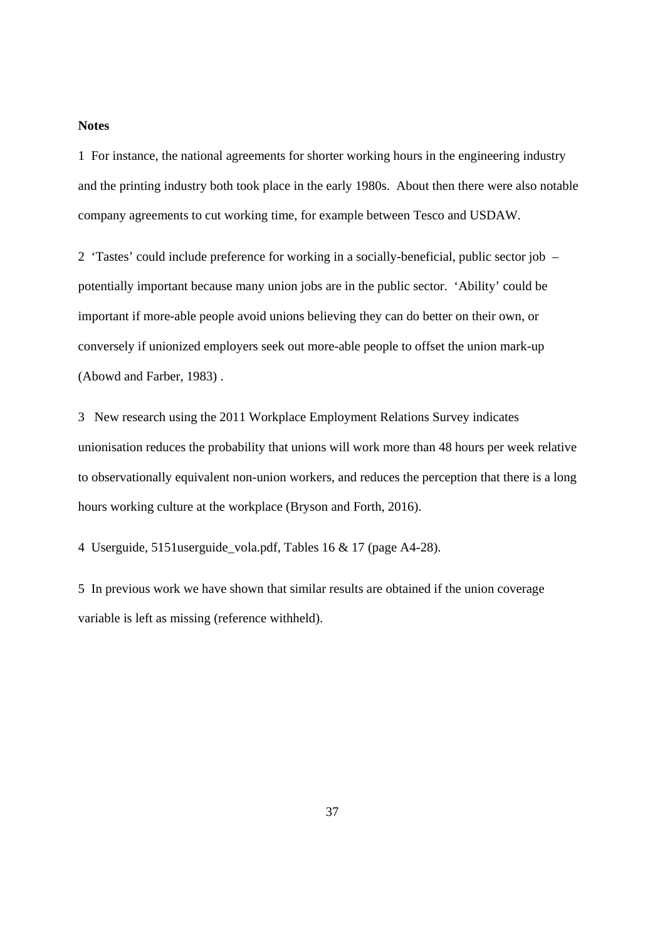#### **Notes**

1 For instance, the national agreements for shorter working hours in the engineering industry and the printing industry both took place in the early 1980s. About then there were also notable company agreements to cut working time, for example between Tesco and USDAW.

2 'Tastes' could include preference for working in a socially-beneficial, public sector job – potentially important because many union jobs are in the public sector. 'Ability' could be important if more-able people avoid unions believing they can do better on their own, or conversely if unionized employers seek out more-able people to offset the union mark-up (Abowd and Farber, 1983) .

3 New research using the 2011 Workplace Employment Relations Survey indicates unionisation reduces the probability that unions will work more than 48 hours per week relative to observationally equivalent non-union workers, and reduces the perception that there is a long hours working culture at the workplace (Bryson and Forth, 2016).

4 Userguide, 5151userguide\_vola.pdf, Tables 16 & 17 (page A4-28).

5 In previous work we have shown that similar results are obtained if the union coverage variable is left as missing (reference withheld).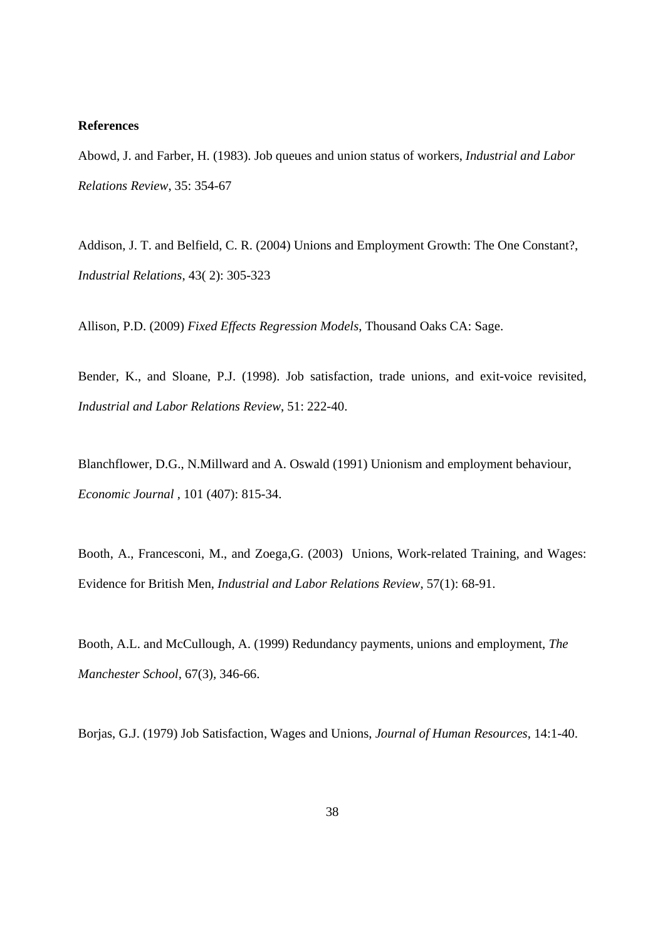#### **References**

Abowd, J. and Farber, H. (1983). Job queues and union status of workers, *Industrial and Labor Relations Review*, 35: 354-67

Addison, J. T. and Belfield, C. R. (2004) Unions and Employment Growth: The One Constant?, *Industrial Relations*, 43( 2): 305-323

Allison, P.D. (2009) *Fixed Effects Regression Models*, Thousand Oaks CA: Sage.

Bender, K., and Sloane, P.J. (1998). Job satisfaction, trade unions, and exit-voice revisited, *Industrial and Labor Relations Review*, 51: 222-40.

Blanchflower, D.G., N.Millward and A. Oswald (1991) Unionism and employment behaviour, *Economic Journal ,* 101 (407): 815-34.

Booth, A., Francesconi, M., and Zoega,G. (2003) Unions, Work-related Training, and Wages: Evidence for British Men, *Industrial and Labor Relations Review*, 57(1): 68-91.

Booth, A.L. and McCullough, A. (1999) Redundancy payments, unions and employment, *The Manchester School,* 67(3)*,* 346-66.

Borjas, G.J. (1979) Job Satisfaction, Wages and Unions, *Journal of Human Resources*, 14:1-40.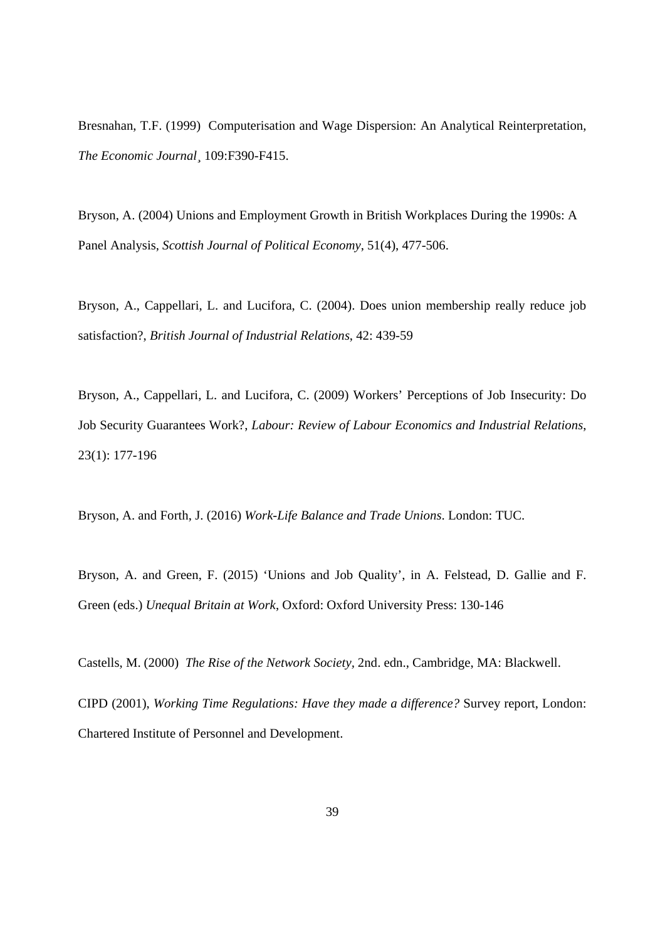Bresnahan, T.F. (1999) Computerisation and Wage Dispersion: An Analytical Reinterpretation, *The Economic Journal¸* 109:F390-F415.

Bryson, A. (2004) Unions and Employment Growth in British Workplaces During the 1990s: A Panel Analysis, *Scottish Journal of Political Economy*, 51(4), 477-506.

Bryson, A., Cappellari, L. and Lucifora, C. (2004). Does union membership really reduce job satisfaction?, *British Journal of Industrial Relations*, 42: 439-59

Bryson, A., Cappellari, L. and Lucifora, C. (2009) Workers' Perceptions of Job Insecurity: Do Job Security Guarantees Work?, *Labour: Review of Labour Economics and Industrial Relations*, 23(1): 177-196

Bryson, A. and Forth, J. (2016) *Work-Life Balance and Trade Unions*. London: TUC.

Bryson, A. and Green, F. (2015) 'Unions and Job Quality', in A. Felstead, D. Gallie and F. Green (eds.) *Unequal Britain at Work*, Oxford: Oxford University Press: 130-146

Castells, M. (2000) *The Rise of the Network Society,* 2nd. edn., Cambridge, MA: Blackwell.

CIPD (2001), *Working Time Regulations: Have they made a difference?* Survey report, London: Chartered Institute of Personnel and Development.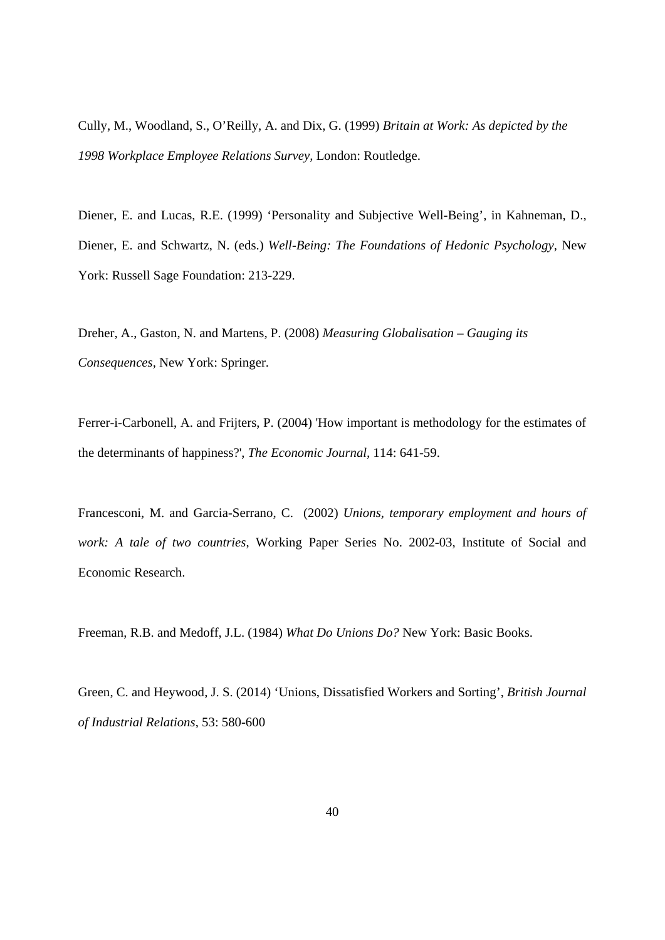Cully, M., Woodland, S., O'Reilly, A. and Dix, G. (1999) *Britain at Work: As depicted by the 1998 Workplace Employee Relations Survey,* London: Routledge.

Diener, E. and Lucas, R.E. (1999) 'Personality and Subjective Well-Being', in Kahneman, D., Diener, E. and Schwartz, N. (eds.) *Well-Being: The Foundations of Hedonic Psychology*, New York: Russell Sage Foundation: 213-229.

Dreher, A., Gaston, N. and Martens, P. (2008) *Measuring Globalisation – Gauging its Consequences,* New York: Springer.

Ferrer-i-Carbonell, A. and Frijters, P. (2004) 'How important is methodology for the estimates of the determinants of happiness?', *The Economic Journal,* 114: 641-59.

Francesconi, M. and Garcia-Serrano, C. (2002) *Unions, temporary employment and hours of work: A tale of two countries*, Working Paper Series No. 2002-03, Institute of Social and Economic Research.

Freeman, R.B. and Medoff, J.L. (1984) *What Do Unions Do?* New York: Basic Books.

Green, C. and Heywood, J. S. (2014) 'Unions, Dissatisfied Workers and Sorting', *British Journal of Industrial Relations*, 53: 580-600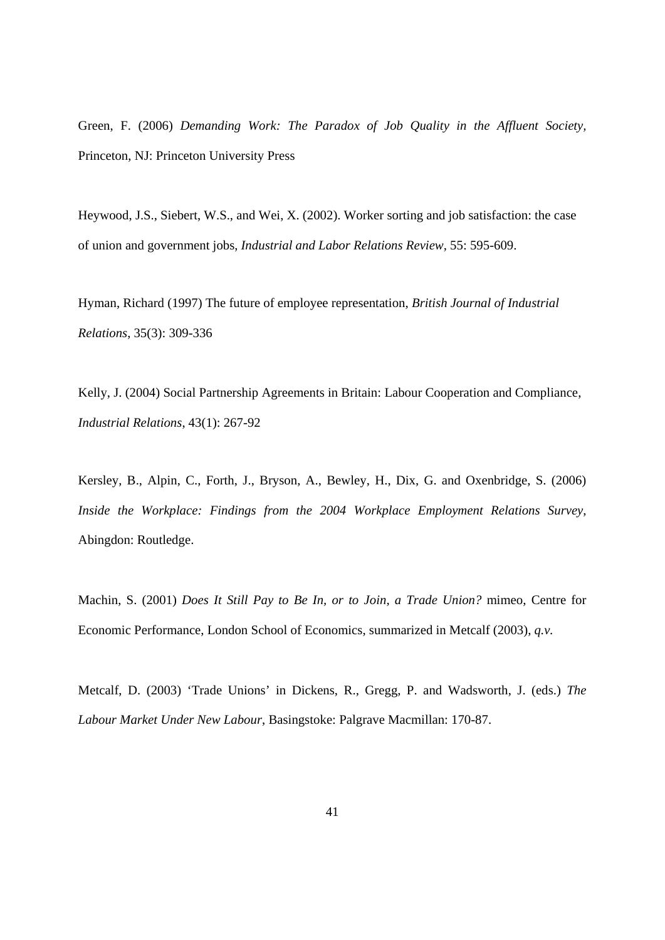Green, F. (2006) *Demanding Work: The Paradox of Job Quality in the Affluent Society,*  Princeton, NJ: Princeton University Press

Heywood, J.S., Siebert, W.S., and Wei, X. (2002). Worker sorting and job satisfaction: the case of union and government jobs, *Industrial and Labor Relations Review*, 55: 595-609.

Hyman, Richard (1997) The future of employee representation, *British Journal of Industrial Relations*, 35(3): 309-336

Kelly, J. (2004) Social Partnership Agreements in Britain: Labour Cooperation and Compliance, *Industrial Relations*, 43(1): 267-92

Kersley, B., Alpin, C., Forth, J., Bryson, A., Bewley, H., Dix, G. and Oxenbridge, S. (2006) *Inside the Workplace: Findings from the 2004 Workplace Employment Relations Survey*, Abingdon: Routledge.

Machin, S. (2001) *Does It Still Pay to Be In, or to Join, a Trade Union?* mimeo, Centre for Economic Performance, London School of Economics, summarized in Metcalf (2003), *q.v.*

Metcalf, D. (2003) 'Trade Unions' in Dickens, R., Gregg, P. and Wadsworth, J. (eds.) *The Labour Market Under New Labour*, Basingstoke: Palgrave Macmillan: 170-87.